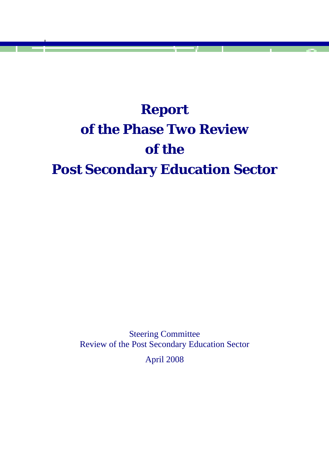# **Report of the Phase Two Review of the Post Secondary Education Sector**

Steering Committee Review of the Post Secondary Education Sector April 2008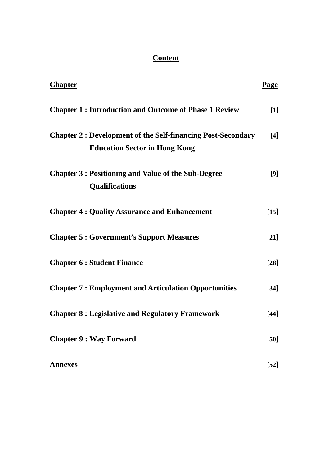## **Content**

| <b>Chapter</b>                                                                                             | <b>Page</b>        |
|------------------------------------------------------------------------------------------------------------|--------------------|
| <b>Chapter 1: Introduction and Outcome of Phase 1 Review</b>                                               | $[1]$              |
| <b>Chapter 2: Development of the Self-financing Post-Secondary</b><br><b>Education Sector in Hong Kong</b> | $\lceil 4 \rceil$  |
| <b>Chapter 3: Positioning and Value of the Sub-Degree</b><br><b>Qualifications</b>                         | [9]                |
| <b>Chapter 4: Quality Assurance and Enhancement</b>                                                        | $[15]$             |
| <b>Chapter 5: Government's Support Measures</b>                                                            | $[21]$             |
| <b>Chapter 6 : Student Finance</b>                                                                         | $\lceil 28 \rceil$ |
| <b>Chapter 7: Employment and Articulation Opportunities</b>                                                | $[34]$             |
| <b>Chapter 8: Legislative and Regulatory Framework</b>                                                     | $[44]$             |
| <b>Chapter 9 : Way Forward</b>                                                                             | [50]               |
| <b>Annexes</b>                                                                                             | $[52]$             |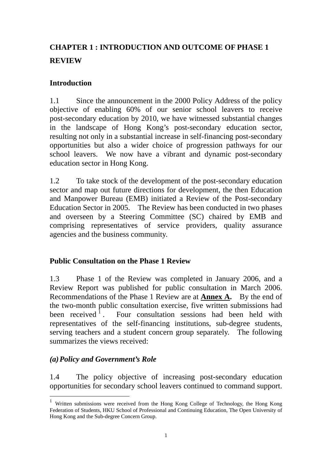# **CHAPTER 1 : INTRODUCTION AND OUTCOME OF PHASE 1 REVIEW**

#### **Introduction**

1.1 Since the announcement in the 2000 Policy Address of the policy objective of enabling 60% of our senior school leavers to receive post-secondary education by 2010, we have witnessed substantial changes in the landscape of Hong Kong's post-secondary education sector, resulting not only in a substantial increase in self-financing post-secondary opportunities but also a wider choice of progression pathways for our school leavers. We now have a vibrant and dynamic post-secondary education sector in Hong Kong.

1.2 To take stock of the development of the post-secondary education sector and map out future directions for development, the then Education and Manpower Bureau (EMB) initiated a Review of the Post-secondary Education Sector in 2005. The Review has been conducted in two phases and overseen by a Steering Committee (SC) chaired by EMB and comprising representatives of service providers, quality assurance agencies and the business community.

#### **Public Consultation on the Phase 1 Review**

1.3 Phase 1 of the Review was completed in January 2006, and a Review Report was published for public consultation in March 2006. Recommendations of the Phase 1 Review are at **Annex A.** By the end of the two-month public consultation exercise, five written submissions had been received  $\frac{1}{1}$ . Four consultation sessions had been held with representatives of the self-financing institutions, sub-degree students, serving teachers and a student concern group separately. The following summarizes the views received:

## *(a)Policy and Government's Role*

 $\overline{a}$ 

1.4 The policy objective of increasing post-secondary education opportunities for secondary school leavers continued to command support.

<sup>1</sup> Written submissions were received from the Hong Kong College of Technology, the Hong Kong Federation of Students, HKU School of Professional and Continuing Education, The Open University of Hong Kong and the Sub-degree Concern Group.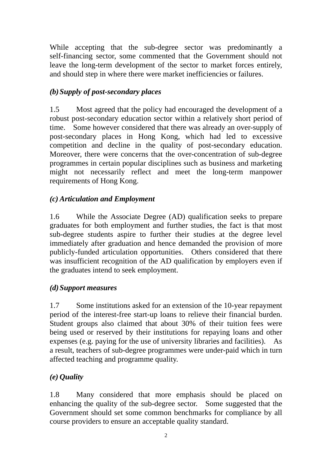While accepting that the sub-degree sector was predominantly a self-financing sector, some commented that the Government should not leave the long-term development of the sector to market forces entirely, and should step in where there were market inefficiencies or failures.

## *(b)Supply of post-secondary places*

1.5 Most agreed that the policy had encouraged the development of a robust post-secondary education sector within a relatively short period of time. Some however considered that there was already an over-supply of post-secondary places in Hong Kong, which had led to excessive competition and decline in the quality of post-secondary education. Moreover, there were concerns that the over-concentration of sub-degree programmes in certain popular disciplines such as business and marketing might not necessarily reflect and meet the long-term manpower requirements of Hong Kong.

#### *(c) Articulation and Employment*

1.6 While the Associate Degree (AD) qualification seeks to prepare graduates for both employment and further studies, the fact is that most sub-degree students aspire to further their studies at the degree level immediately after graduation and hence demanded the provision of more publicly-funded articulation opportunities. Others considered that there was insufficient recognition of the AD qualification by employers even if the graduates intend to seek employment.

#### *(d)Support measures*

1.7 Some institutions asked for an extension of the 10-year repayment period of the interest-free start-up loans to relieve their financial burden. Student groups also claimed that about 30% of their tuition fees were being used or reserved by their institutions for repaying loans and other expenses (e.g. paying for the use of university libraries and facilities). As a result, teachers of sub-degree programmes were under-paid which in turn affected teaching and programme quality.

#### *(e) Quality*

1.8 Many considered that more emphasis should be placed on enhancing the quality of the sub-degree sector. Some suggested that the Government should set some common benchmarks for compliance by all course providers to ensure an acceptable quality standard.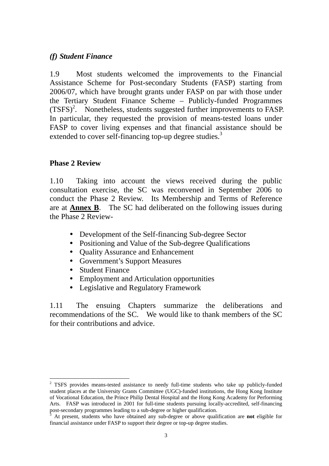#### *(f) Student Finance*

1.9 Most students welcomed the improvements to the Financial Assistance Scheme for Post-secondary Students (FASP) starting from 2006/07, which have brought grants under FASP on par with those under the Tertiary Student Finance Scheme – Publicly-funded Programmes (TSFS)<sup>2</sup>. Nonetheless, students suggested further improvements to FASP. In particular, they requested the provision of means-tested loans under FASP to cover living expenses and that financial assistance should be extended to cover self-financing top-up degree studies.<sup>3</sup>

#### **Phase 2 Review**

1.10 Taking into account the views received during the public consultation exercise, the SC was reconvened in September 2006 to conduct the Phase 2 Review. Its Membership and Terms of Reference are at **Annex B**. The SC had deliberated on the following issues during the Phase 2 Review-

- Development of the Self-financing Sub-degree Sector
- Positioning and Value of the Sub-degree Qualifications
- Ouality Assurance and Enhancement
- Government's Support Measures
- Student Finance
- Employment and Articulation opportunities
- Legislative and Regulatory Framework

1.11 The ensuing Chapters summarize the deliberations and recommendations of the SC. We would like to thank members of the SC for their contributions and advice.

 $\overline{a}$ <sup>2</sup> TSFS provides means-tested assistance to needy full-time students who take up publicly-funded student places at the University Grants Committee (UGC)-funded institutions, the Hong Kong Institute of Vocational Education, the Prince Philip Dental Hospital and the Hong Kong Academy for Performing Arts. FASP was introduced in 2001 for full-time students pursuing locally-accredited, self-financing post-secondary programmes leading to a sub-degree or higher qualification.

At present, students who have obtained any sub-degree or above qualification are **not** eligible for financial assistance under FASP to support their degree or top-up degree studies.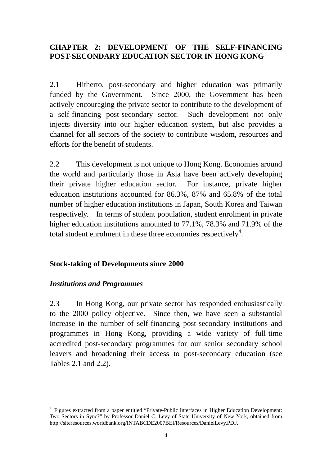## **CHAPTER 2: DEVELOPMENT OF THE SELF-FINANCING POST-SECONDARY EDUCATION SECTOR IN HONG KONG**

2.1 Hitherto, post-secondary and higher education was primarily funded by the Government. Since 2000, the Government has been actively encouraging the private sector to contribute to the development of a self-financing post-secondary sector. Such development not only injects diversity into our higher education system, but also provides a channel for all sectors of the society to contribute wisdom, resources and efforts for the benefit of students.

2.2 This development is not unique to Hong Kong. Economies around the world and particularly those in Asia have been actively developing their private higher education sector. For instance, private higher education institutions accounted for 86.3%, 87% and 65.8% of the total number of higher education institutions in Japan, South Korea and Taiwan respectively. In terms of student population, student enrolment in private higher education institutions amounted to 77.1%, 78.3% and 71.9% of the total student enrolment in these three economies respectively<sup>4</sup>.

#### **Stock-taking of Developments since 2000**

#### *Institutions and Programmes*

2.3 In Hong Kong, our private sector has responded enthusiastically to the 2000 policy objective. Since then, we have seen a substantial increase in the number of self-financing post-secondary institutions and programmes in Hong Kong, providing a wide variety of full-time accredited post-secondary programmes for our senior secondary school leavers and broadening their access to post-secondary education (see Tables 2.1 and 2.2).

 $\overline{a}$ <sup>4</sup> Figures extracted from a paper entitled "Private-Public Interfaces in Higher Education Development: Two Sectors in Sync?" by Professor Daniel C. Levy of State University of New York, obtained from http://siteresources.worldbank.org/INTABCDE2007BEI/Resources/DanielLevy.PDF.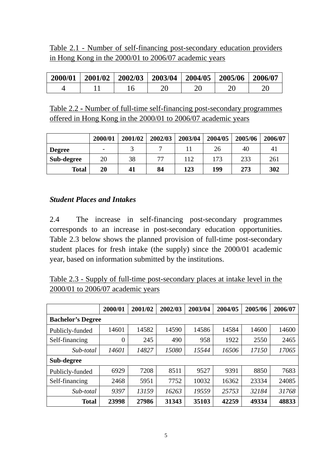## Table 2.1 - Number of self-financing post-secondary education providers in Hong Kong in the 2000/01 to 2006/07 academic years

| 2000/01 | 2001/02 | 2002/03 | $\frac{2003}{04}$ | $\frac{1}{2004/05}$ | 2005/06 | 2006/07 |
|---------|---------|---------|-------------------|---------------------|---------|---------|
|         |         |         |                   | 20                  |         |         |

Table 2.2 **-** Number of full-time self-financing post-secondary programmes offered in Hong Kong in the 2000/01 to 2006/07 academic years

|               | 2000/01 | 2001/02 | 2002/03 | 2003/04 | 2004/05 | 2005/06 | 2006/07 |
|---------------|---------|---------|---------|---------|---------|---------|---------|
| <b>Degree</b> |         |         |         |         | 26      | 40      | 41      |
| Sub-degree    | 20      | 38      | 77      | 112     | 173     | 233     | 261     |
| <b>Total</b>  | 20      | 41      | 84      | 123     | 199     | 273     | 302     |

#### *Student Places and Intakes*

2.4 The increase in self-financing post-secondary programmes corresponds to an increase in post-secondary education opportunities. Table 2.3 below shows the planned provision of full-time post-secondary student places for fresh intake (the supply) since the 2000/01 academic year, based on information submitted by the institutions.

| Table 2.3 - Supply of full-time post-secondary places at intake level in the |  |  |
|------------------------------------------------------------------------------|--|--|
| $2000/01$ to $2006/07$ academic years                                        |  |  |

|                          | 2000/01        | 2001/02 | 2002/03 | 2003/04 | 2004/05 | 2005/06 | 2006/07 |
|--------------------------|----------------|---------|---------|---------|---------|---------|---------|
| <b>Bachelor's Degree</b> |                |         |         |         |         |         |         |
| Publicly-funded          | 14601          | 14582   | 14590   | 14586   | 14584   | 14600   | 14600   |
| Self-financing           | $\overline{0}$ | 245     | 490     | 958     | 1922    | 2550    | 2465    |
| Sub-total                | 14601          | 14827   | 15080   | 15544   | 16506   | 17150   | 17065   |
| Sub-degree               |                |         |         |         |         |         |         |
| Publicly-funded          | 6929           | 7208    | 8511    | 9527    | 9391    | 8850    | 7683    |
| Self-financing           | 2468           | 5951    | 7752    | 10032   | 16362   | 23334   | 24085   |
| Sub-total                | 9397           | 13159   | 16263   | 19559   | 25753   | 32184   | 31768   |
| <b>Total</b>             | 23998          | 27986   | 31343   | 35103   | 42259   | 49334   | 48833   |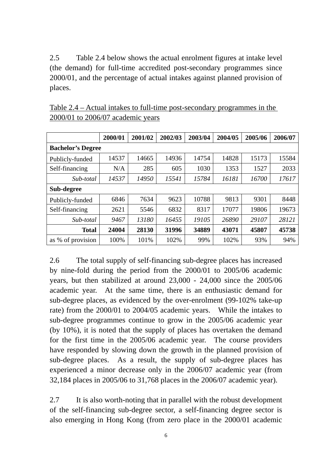2.5 Table 2.4 below shows the actual enrolment figures at intake level (the demand) for full-time accredited post-secondary programmes since 2000/01, and the percentage of actual intakes against planned provision of places.

|                          | 2000/01 | 2001/02 | 2002/03 | 2003/04 | 2004/05 | 2005/06 | 2006/07 |
|--------------------------|---------|---------|---------|---------|---------|---------|---------|
| <b>Bachelor's Degree</b> |         |         |         |         |         |         |         |
| Publicly-funded          | 14537   | 14665   | 14936   | 14754   | 14828   | 15173   | 15584   |
| Self-financing           | N/A     | 285     | 605     | 1030    | 1353    | 1527    | 2033    |
| Sub-total                | 14537   | 14950   | 15541   | 15784   | 16181   | 16700   | 17617   |
| Sub-degree               |         |         |         |         |         |         |         |
| Publicly-funded          | 6846    | 7634    | 9623    | 10788   | 9813    | 9301    | 8448    |
| Self-financing           | 2621    | 5546    | 6832    | 8317    | 17077   | 19806   | 19673   |
| Sub-total                | 9467    | 13180   | 16455   | 19105   | 26890   | 29107   | 28121   |
| <b>Total</b>             | 24004   | 28130   | 31996   | 34889   | 43071   | 45807   | 45738   |
| as % of provision        | 100%    | 101%    | 102%    | 99%     | 102%    | 93%     | 94%     |

Table 2.4 – Actual intakes to full-time post-secondary programmes in the 2000/01 to 2006/07 academic years

2.6 The total supply of self-financing sub-degree places has increased by nine-fold during the period from the 2000/01 to 2005/06 academic years, but then stabilized at around 23,000 - 24,000 since the 2005/06 academic year. At the same time, there is an enthusiastic demand for sub-degree places, as evidenced by the over-enrolment (99-102% take-up rate) from the 2000/01 to 2004/05 academic years. While the intakes to sub-degree programmes continue to grow in the 2005/06 academic year (by 10%), it is noted that the supply of places has overtaken the demand for the first time in the 2005/06 academic year. The course providers have responded by slowing down the growth in the planned provision of sub-degree places. As a result, the supply of sub-degree places has experienced a minor decrease only in the 2006/07 academic year (from 32,184 places in 2005/06 to 31,768 places in the 2006/07 academic year).

2.7 It is also worth-noting that in parallel with the robust development of the self-financing sub-degree sector, a self-financing degree sector is also emerging in Hong Kong (from zero place in the 2000/01 academic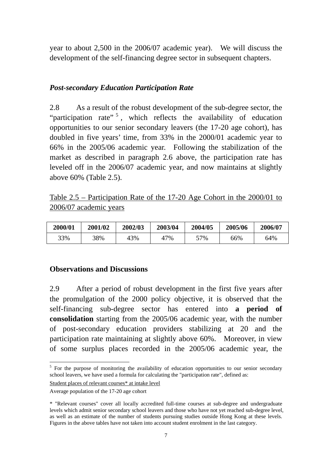year to about 2,500 in the 2006/07 academic year). We will discuss the development of the self-financing degree sector in subsequent chapters.

#### *Post-secondary Education Participation Rate*

2.8 As a result of the robust development of the sub-degree sector, the "participation rate"  $\frac{1}{2}$ , which reflects the availability of education opportunities to our senior secondary leavers (the 17-20 age cohort), has doubled in five years' time, from 33% in the 2000/01 academic year to 66% in the 2005/06 academic year. Following the stabilization of the market as described in paragraph 2.6 above, the participation rate has leveled off in the 2006/07 academic year, and now maintains at slightly above 60% (Table 2.5).

| Table $2.5$ – Participation Rate of the 17-20 Age Cohort in the 2000/01 to |  |  |
|----------------------------------------------------------------------------|--|--|
| 2006/07 academic years                                                     |  |  |

| 2000/01 | 2001/02 | 2002/03 | 2003/04      | 2004/05 | 2005/06 | 2006/07 |
|---------|---------|---------|--------------|---------|---------|---------|
| 33%     | 38%     | 43%     | $17\%$<br>4, | 57%     | 66%     | 64%     |

#### **Observations and Discussions**

2.9 After a period of robust development in the first five years after the promulgation of the 2000 policy objective, it is observed that the self-financing sub-degree sector has entered into **a period of consolidation** starting from the 2005/06 academic year, with the number of post-secondary education providers stabilizing at 20 and the participation rate maintaining at slightly above 60%. Moreover, in view of some surplus places recorded in the 2005/06 academic year, the

Student places of relevant courses\* at intake level

 $\overline{a}$ 

<sup>&</sup>lt;sup>5</sup> For the purpose of monitoring the availability of education opportunities to our senior secondary school leavers, we have used a formula for calculating the "participation rate", defined as:

Average population of the 17-20 age cohort

<sup>\* &</sup>quot;Relevant courses" cover all locally accredited full-time courses at sub-degree and undergraduate levels which admit senior secondary school leavers and those who have not yet reached sub-degree level, as well as an estimate of the number of students pursuing studies outside Hong Kong at these levels. Figures in the above tables have not taken into account student enrolment in the last category.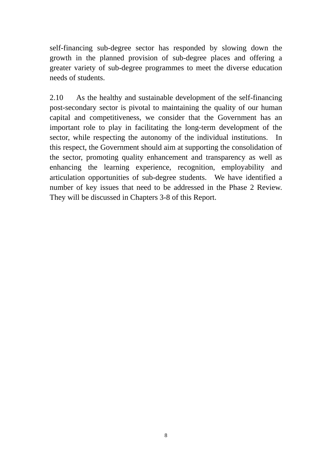self-financing sub-degree sector has responded by slowing down the growth in the planned provision of sub-degree places and offering a greater variety of sub-degree programmes to meet the diverse education needs of students.

2.10 As the healthy and sustainable development of the self-financing post-secondary sector is pivotal to maintaining the quality of our human capital and competitiveness, we consider that the Government has an important role to play in facilitating the long-term development of the sector, while respecting the autonomy of the individual institutions. In this respect, the Government should aim at supporting the consolidation of the sector, promoting quality enhancement and transparency as well as enhancing the learning experience, recognition, employability and articulation opportunities of sub-degree students. We have identified a number of key issues that need to be addressed in the Phase 2 Review. They will be discussed in Chapters 3-8 of this Report.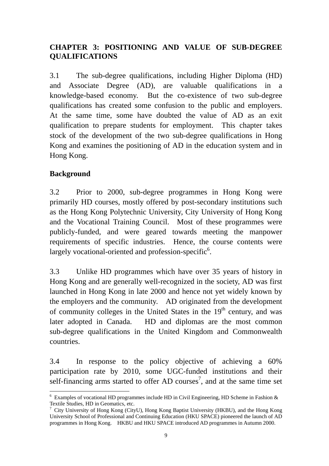## **CHAPTER 3: POSITIONING AND VALUE OF SUB-DEGREE QUALIFICATIONS**

3.1 The sub-degree qualifications, including Higher Diploma (HD) and Associate Degree (AD), are valuable qualifications in a knowledge-based economy. But the co-existence of two sub-degree qualifications has created some confusion to the public and employers. At the same time, some have doubted the value of AD as an exit qualification to prepare students for employment. This chapter takes stock of the development of the two sub-degree qualifications in Hong Kong and examines the positioning of AD in the education system and in Hong Kong.

## **Background**

3.2 Prior to 2000, sub-degree programmes in Hong Kong were primarily HD courses, mostly offered by post-secondary institutions such as the Hong Kong Polytechnic University, City University of Hong Kong and the Vocational Training Council. Most of these programmes were publicly-funded, and were geared towards meeting the manpower requirements of specific industries. Hence, the course contents were largely vocational-oriented and profession-specific<sup>6</sup>.

3.3 Unlike HD programmes which have over 35 years of history in Hong Kong and are generally well-recognized in the society, AD was first launched in Hong Kong in late 2000 and hence not yet widely known by the employers and the community. AD originated from the development of community colleges in the United States in the  $19<sup>th</sup>$  century, and was later adopted in Canada. HD and diplomas are the most common sub-degree qualifications in the United Kingdom and Commonwealth countries.

3.4 In response to the policy objective of achieving a 60% participation rate by 2010, some UGC-funded institutions and their self-financing arms started to offer AD courses<sup>7</sup>, and at the same time set

 $\overline{a}$  $6$  Examples of vocational HD programmes include HD in Civil Engineering, HD Scheme in Fashion  $\&$ Textile Studies, HD in Geomatics, etc.

<sup>&</sup>lt;sup>7</sup> City University of Hong Kong (CityU), Hong Kong Baptist University (HKBU), and the Hong Kong University School of Professional and Continuing Education (HKU SPACE) pioneered the launch of AD programmes in Hong Kong. HKBU and HKU SPACE introduced AD programmes in Autumn 2000.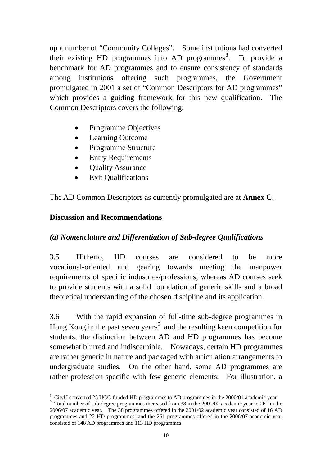up a number of "Community Colleges". Some institutions had converted their existing HD programmes into AD programmes<sup>8</sup>. To provide a benchmark for AD programmes and to ensure consistency of standards among institutions offering such programmes, the Government promulgated in 2001 a set of "Common Descriptors for AD programmes" which provides a guiding framework for this new qualification. The Common Descriptors covers the following:

- Programme Objectives
- Learning Outcome
- Programme Structure
- Entry Requirements
- Quality Assurance
- Exit Qualifications

The AD Common Descriptors as currently promulgated are at **Annex C**.

#### **Discussion and Recommendations**

 $\overline{a}$ 

#### *(a) Nomenclature and Differentiation of Sub-degree Qualifications*

3.5 Hitherto, HD courses are considered to be more vocational-oriented and gearing towards meeting the manpower requirements of specific industries/professions; whereas AD courses seek to provide students with a solid foundation of generic skills and a broad theoretical understanding of the chosen discipline and its application.

3.6 With the rapid expansion of full-time sub-degree programmes in Hong Kong in the past seven years<sup>9</sup> and the resulting keen competition for students, the distinction between AD and HD programmes has become somewhat blurred and indiscernible. Nowadays, certain HD programmes are rather generic in nature and packaged with articulation arrangements to undergraduate studies. On the other hand, some AD programmes are rather profession-specific with few generic elements. For illustration, a

<sup>&</sup>lt;sup>8</sup> CityU converted 25 UGC-funded HD programmes to AD programmes in the 2000/01 academic year.

<sup>&</sup>lt;sup>9</sup> Total number of sub-degree programmes increased from 38 in the 2001/02 academic year to 261 in the 2006/07 academic year. The 38 programmes offered in the 2001/02 academic year consisted of 16 AD programmes and 22 HD programmes; and the 261 programmes offered in the 2006/07 academic year consisted of 148 AD programmes and 113 HD programmes.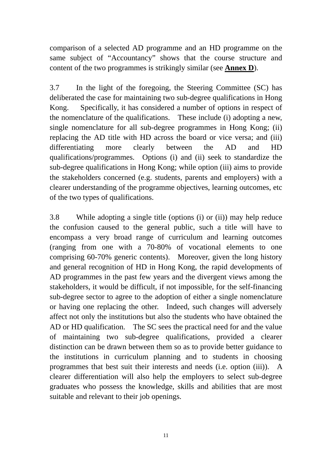comparison of a selected AD programme and an HD programme on the same subject of "Accountancy" shows that the course structure and content of the two programmes is strikingly similar (see **Annex D**).

3.7 In the light of the foregoing, the Steering Committee (SC) has deliberated the case for maintaining two sub-degree qualifications in Hong Kong. Specifically, it has considered a number of options in respect of the nomenclature of the qualifications. These include (i) adopting a new, single nomenclature for all sub-degree programmes in Hong Kong; (ii) replacing the AD title with HD across the board or vice versa; and (iii) differentiating more clearly between the AD and HD qualifications/programmes. Options (i) and (ii) seek to standardize the sub-degree qualifications in Hong Kong; while option (iii) aims to provide the stakeholders concerned (e.g. students, parents and employers) with a clearer understanding of the programme objectives, learning outcomes, etc of the two types of qualifications.

3.8 While adopting a single title (options (i) or (ii)) may help reduce the confusion caused to the general public, such a title will have to encompass a very broad range of curriculum and learning outcomes (ranging from one with a 70-80% of vocational elements to one comprising 60-70% generic contents). Moreover, given the long history and general recognition of HD in Hong Kong, the rapid developments of AD programmes in the past few years and the divergent views among the stakeholders, it would be difficult, if not impossible, for the self-financing sub-degree sector to agree to the adoption of either a single nomenclature or having one replacing the other. Indeed, such changes will adversely affect not only the institutions but also the students who have obtained the AD or HD qualification. The SC sees the practical need for and the value of maintaining two sub-degree qualifications, provided a clearer distinction can be drawn between them so as to provide better guidance to the institutions in curriculum planning and to students in choosing programmes that best suit their interests and needs (i.e. option (iii)). A clearer differentiation will also help the employers to select sub-degree graduates who possess the knowledge, skills and abilities that are most suitable and relevant to their job openings.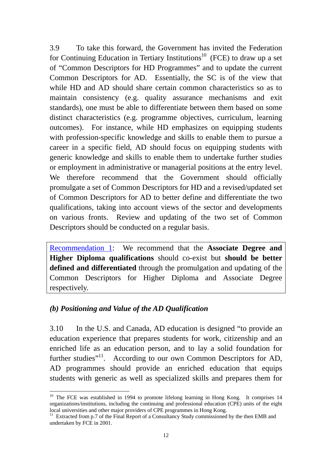3.9 To take this forward, the Government has invited the Federation for Continuing Education in Tertiary Institutions<sup>10</sup> (FCE) to draw up a set of "Common Descriptors for HD Programmes" and to update the current Common Descriptors for AD. Essentially, the SC is of the view that while HD and AD should share certain common characteristics so as to maintain consistency (e.g. quality assurance mechanisms and exit standards), one must be able to differentiate between them based on some distinct characteristics (e.g. programme objectives, curriculum, learning outcomes). For instance, while HD emphasizes on equipping students with profession-specific knowledge and skills to enable them to pursue a career in a specific field, AD should focus on equipping students with generic knowledge and skills to enable them to undertake further studies or employment in administrative or managerial positions at the entry level. We therefore recommend that the Government should officially promulgate a set of Common Descriptors for HD and a revised/updated set of Common Descriptors for AD to better define and differentiate the two qualifications, taking into account views of the sector and developments on various fronts. Review and updating of the two set of Common Descriptors should be conducted on a regular basis.

Recommendation 1: We recommend that the **Associate Degree and Higher Diploma qualifications** should co-exist but **should be better defined and differentiated** through the promulgation and updating of the Common Descriptors for Higher Diploma and Associate Degree respectively.

#### *(b) Positioning and Value of the AD Qualification*

 $\overline{a}$ 

3.10 In the U.S. and Canada, AD education is designed "to provide an education experience that prepares students for work, citizenship and an enriched life as an education person, and to lay a solid foundation for further studies"<sup>11</sup>. According to our own Common Descriptors for AD, AD programmes should provide an enriched education that equips students with generic as well as specialized skills and prepares them for

<sup>&</sup>lt;sup>10</sup> The FCE was established in 1994 to promote lifelong learning in Hong Kong. It comprises 14 organizations/institutions, including the continuing and professional education (CPE) units of the eight local universities and other major providers of CPE programmes in Hong Kong.

<sup>&</sup>lt;sup>11</sup> Extracted from p.7 of the Final Report of a Consultancy Study commissioned by the then EMB and undertaken by FCE in 2001.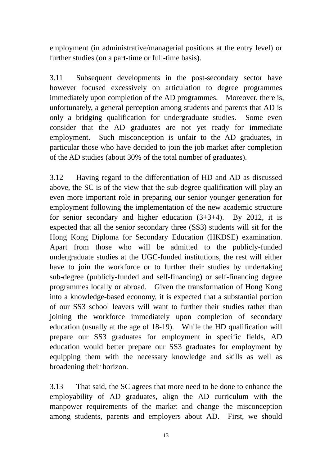employment (in administrative/managerial positions at the entry level) or further studies (on a part-time or full-time basis).

3.11 Subsequent developments in the post-secondary sector have however focused excessively on articulation to degree programmes immediately upon completion of the AD programmes. Moreover, there is, unfortunately, a general perception among students and parents that AD is only a bridging qualification for undergraduate studies. Some even consider that the AD graduates are not yet ready for immediate employment. Such misconception is unfair to the AD graduates, in particular those who have decided to join the job market after completion of the AD studies (about 30% of the total number of graduates).

3.12 Having regard to the differentiation of HD and AD as discussed above, the SC is of the view that the sub-degree qualification will play an even more important role in preparing our senior younger generation for employment following the implementation of the new academic structure for secondary and higher education  $(3+3+4)$ . By 2012, it is expected that all the senior secondary three (SS3) students will sit for the Hong Kong Diploma for Secondary Education (HKDSE) examination. Apart from those who will be admitted to the publicly-funded undergraduate studies at the UGC-funded institutions, the rest will either have to join the workforce or to further their studies by undertaking sub-degree (publicly-funded and self-financing) or self-financing degree programmes locally or abroad. Given the transformation of Hong Kong into a knowledge-based economy, it is expected that a substantial portion of our SS3 school leavers will want to further their studies rather than joining the workforce immediately upon completion of secondary education (usually at the age of 18-19). While the HD qualification will prepare our SS3 graduates for employment in specific fields, AD education would better prepare our SS3 graduates for employment by equipping them with the necessary knowledge and skills as well as broadening their horizon.

3.13 That said, the SC agrees that more need to be done to enhance the employability of AD graduates, align the AD curriculum with the manpower requirements of the market and change the misconception among students, parents and employers about AD. First, we should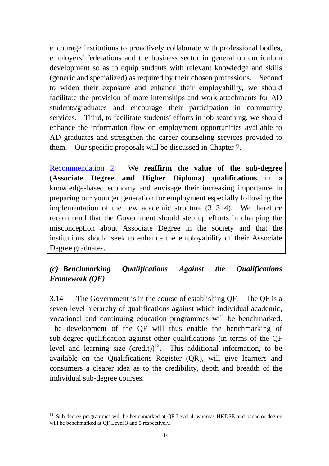encourage institutions to proactively collaborate with professional bodies, employers' federations and the business sector in general on curriculum development so as to equip students with relevant knowledge and skills (generic and specialized) as required by their chosen professions. Second, to widen their exposure and enhance their employability, we should facilitate the provision of more internships and work attachments for AD students/graduates and encourage their participation in community services. Third, to facilitate students' efforts in job-searching, we should enhance the information flow on employment opportunities available to AD graduates and strengthen the career counseling services provided to them. Our specific proposals will be discussed in Chapter 7.

Recommendation 2: We **reaffirm the value of the sub-degree (Associate Degree and Higher Diploma) qualifications** in a knowledge-based economy and envisage their increasing importance in preparing our younger generation for employment especially following the implementation of the new academic structure  $(3+3+4)$ . We therefore recommend that the Government should step up efforts in changing the misconception about Associate Degree in the society and that the institutions should seek to enhance the employability of their Associate Degree graduates.

## *(c) Benchmarking Qualifications Against the Qualifications Framework (QF)*

3.14 The Government is in the course of establishing QF. The QF is a seven-level hierarchy of qualifications against which individual academic, vocational and continuing education programmes will be benchmarked. The development of the QF will thus enable the benchmarking of sub-degree qualification against other qualifications (in terms of the QF level and learning size  $(credit))$ <sup>12</sup>. This additional information, to be available on the Qualifications Register (QR), will give learners and consumers a clearer idea as to the credibility, depth and breadth of the individual sub-degree courses.

 $\overline{a}$  $12$  Sub-degree programmes will be benchmarked at QF Level 4, whereas HKDSE and bachelor degree will be benchmarked at QF Level 3 and 5 respectively.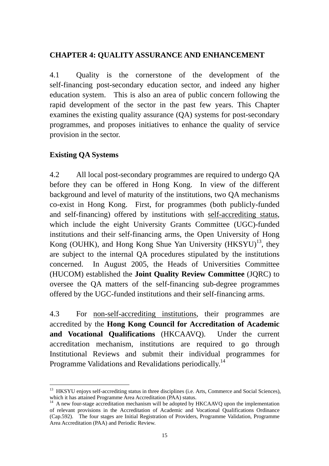#### **CHAPTER 4: QUALITY ASSURANCE AND ENHANCEMENT**

4.1 Quality is the cornerstone of the development of the self-financing post-secondary education sector, and indeed any higher education system. This is also an area of public concern following the rapid development of the sector in the past few years. This Chapter examines the existing quality assurance (QA) systems for post-secondary programmes, and proposes initiatives to enhance the quality of service provision in the sector.

#### **Existing QA Systems**

4.2 All local post-secondary programmes are required to undergo QA before they can be offered in Hong Kong. In view of the different background and level of maturity of the institutions, two QA mechanisms co-exist in Hong Kong. First, for programmes (both publicly-funded and self-financing) offered by institutions with self-accrediting status, which include the eight University Grants Committee (UGC)-funded institutions and their self-financing arms, the Open University of Hong Kong (OUHK), and Hong Kong Shue Yan University  $(HKSYU)^{13}$ , they are subject to the internal QA procedures stipulated by the institutions concerned. In August 2005, the Heads of Universities Committee (HUCOM) established the **Joint Quality Review Committee** (JQRC) to oversee the QA matters of the self-financing sub-degree programmes offered by the UGC-funded institutions and their self-financing arms.

4.3 For non-self-accrediting institutions, their programmes are accredited by the **Hong Kong Council for Accreditation of Academic and Vocational Qualifications** (HKCAAVQ). Under the current accreditation mechanism, institutions are required to go through Institutional Reviews and submit their individual programmes for Programme Validations and Revalidations periodically.<sup>14</sup>

 $\overline{a}$ <sup>13</sup> HKSYU enjoys self-accrediting status in three disciplines (i.e. Arts, Commerce and Social Sciences), which it has attained Programme Area Accreditation (PAA) status.

 $14$  A new four-stage accreditation mechanism will be adopted by HKCAAVQ upon the implementation of relevant provisions in the Accreditation of Academic and Vocational Qualifications Ordinance (Cap.592). The four stages are Initial Registration of Providers, Programme Validation, Programme Area Accreditation (PAA) and Periodic Review.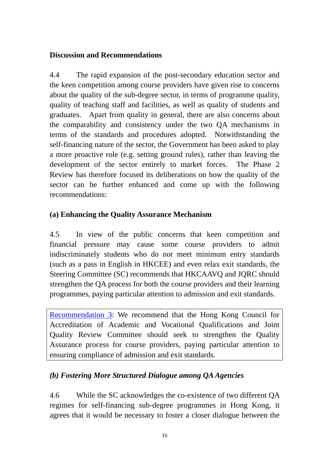#### **Discussion and Recommendations**

4.4 The rapid expansion of the post-secondary education sector and the keen competition among course providers have given rise to concerns about the quality of the sub-degree sector, in terms of programme quality, quality of teaching staff and facilities, as well as quality of students and graduates. Apart from quality in general, there are also concerns about the comparability and consistency under the two QA mechanisms in terms of the standards and procedures adopted. Notwithstanding the self-financing nature of the sector, the Government has been asked to play a more proactive role (e.g. setting ground rules), rather than leaving the development of the sector entirely to market forces. The Phase 2 Review has therefore focused its deliberations on how the quality of the sector can be further enhanced and come up with the following recommendations:

## **(a) Enhancing the Quality Assurance Mechanism**

4.5 In view of the public concerns that keen competition and financial pressure may cause some course providers to admit indiscriminately students who do not meet minimum entry standards (such as a pass in English in HKCEE) and even relax exit standards, the Steering Committee (SC) recommends that HKCAAVQ and JQRC should strengthen the QA process for both the course providers and their learning programmes, paying particular attention to admission and exit standards.

Recommendation 3: We recommend that the Hong Kong Council for Accreditation of Academic and Vocational Qualifications and Joint Quality Review Committee should seek to strengthen the Quality Assurance process for course providers, paying particular attention to ensuring compliance of admission and exit standards.

## *(b) Fostering More Structured Dialogue among QA Agencies*

4.6 While the SC acknowledges the co-existence of two different QA regimes for self-financing sub-degree programmes in Hong Kong, it agrees that it would be necessary to foster a closer dialogue between the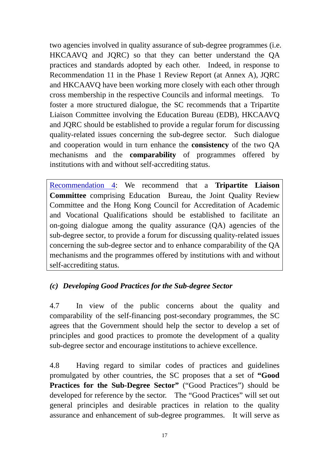two agencies involved in quality assurance of sub-degree programmes (i.e. HKCAAVQ and JQRC) so that they can better understand the QA practices and standards adopted by each other. Indeed, in response to Recommendation 11 in the Phase 1 Review Report (at Annex A), JQRC and HKCAAVQ have been working more closely with each other through cross membership in the respective Councils and informal meetings. To foster a more structured dialogue, the SC recommends that a Tripartite Liaison Committee involving the Education Bureau (EDB), HKCAAVQ and JQRC should be established to provide a regular forum for discussing quality-related issues concerning the sub-degree sector. Such dialogue and cooperation would in turn enhance the **consistency** of the two QA mechanisms and the **comparability** of programmes offered by institutions with and without self-accrediting status.

Recommendation 4: We recommend that a **Tripartite Liaison Committee** comprising Education Bureau, the Joint Quality Review Committee and the Hong Kong Council for Accreditation of Academic and Vocational Qualifications should be established to facilitate an on-going dialogue among the quality assurance (QA) agencies of the sub-degree sector, to provide a forum for discussing quality-related issues concerning the sub-degree sector and to enhance comparability of the QA mechanisms and the programmes offered by institutions with and without self-accrediting status.

## *(c) Developing Good Practices for the Sub-degree Sector*

4.7 In view of the public concerns about the quality and comparability of the self-financing post-secondary programmes, the SC agrees that the Government should help the sector to develop a set of principles and good practices to promote the development of a quality sub-degree sector and encourage institutions to achieve excellence.

4.8 Having regard to similar codes of practices and guidelines promulgated by other countries, the SC proposes that a set of **"Good Practices for the Sub-Degree Sector"** ("Good Practices") should be developed for reference by the sector. The "Good Practices" will set out general principles and desirable practices in relation to the quality assurance and enhancement of sub-degree programmes. It will serve as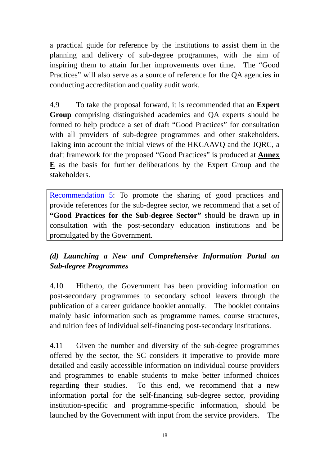a practical guide for reference by the institutions to assist them in the planning and delivery of sub-degree programmes, with the aim of inspiring them to attain further improvements over time. The "Good Practices" will also serve as a source of reference for the QA agencies in conducting accreditation and quality audit work.

4.9 To take the proposal forward, it is recommended that an **Expert Group** comprising distinguished academics and QA experts should be formed to help produce a set of draft "Good Practices" for consultation with all providers of sub-degree programmes and other stakeholders. Taking into account the initial views of the HKCAAVQ and the JQRC*,* a draft framework for the proposed "Good Practices" is produced at **Annex E** as the basis for further deliberations by the Expert Group and the stakeholders.

Recommendation 5: To promote the sharing of good practices and provide references for the sub-degree sector, we recommend that a set of **"Good Practices for the Sub-degree Sector"** should be drawn up in consultation with the post-secondary education institutions and be promulgated by the Government.

## *(d) Launching a New and Comprehensive Information Portal on Sub-degree Programmes*

4.10 Hitherto, the Government has been providing information on post-secondary programmes to secondary school leavers through the publication of a career guidance booklet annually. The booklet contains mainly basic information such as programme names, course structures, and tuition fees of individual self-financing post-secondary institutions.

4.11 Given the number and diversity of the sub-degree programmes offered by the sector, the SC considers it imperative to provide more detailed and easily accessible information on individual course providers and programmes to enable students to make better informed choices regarding their studies. To this end, we recommend that a new information portal for the self-financing sub-degree sector, providing institution-specific and programme-specific information, should be launched by the Government with input from the service providers. The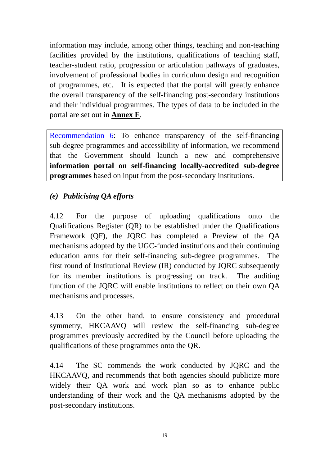information may include, among other things, teaching and non-teaching facilities provided by the institutions, qualifications of teaching staff, teacher-student ratio, progression or articulation pathways of graduates, involvement of professional bodies in curriculum design and recognition of programmes, etc. It is expected that the portal will greatly enhance the overall transparency of the self-financing post-secondary institutions and their individual programmes. The types of data to be included in the portal are set out in **Annex F**.

Recommendation 6: To enhance transparency of the self-financing sub-degree programmes and accessibility of information, we recommend that the Government should launch a new and comprehensive **information portal on self-financing locally-accredited sub-degree programmes** based on input from the post-secondary institutions.

## *(e) Publicising QA efforts*

4.12 For the purpose of uploading qualifications onto the Qualifications Register (QR) to be established under the Qualifications Framework (QF), the JQRC has completed a Preview of the QA mechanisms adopted by the UGC-funded institutions and their continuing education arms for their self-financing sub-degree programmes. The first round of Institutional Review (IR) conducted by JQRC subsequently for its member institutions is progressing on track. The auditing function of the JQRC will enable institutions to reflect on their own QA mechanisms and processes.

4.13 On the other hand, to ensure consistency and procedural symmetry, HKCAAVQ will review the self-financing sub-degree programmes previously accredited by the Council before uploading the qualifications of these programmes onto the QR.

4.14 The SC commends the work conducted by JQRC and the HKCAAVQ, and recommends that both agencies should publicize more widely their QA work and work plan so as to enhance public understanding of their work and the QA mechanisms adopted by the post-secondary institutions.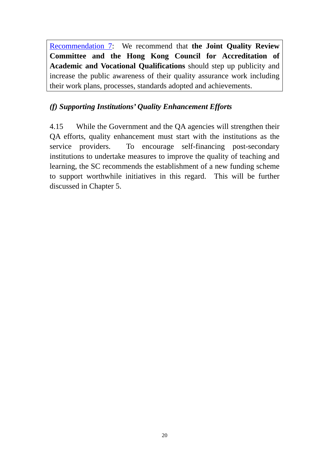Recommendation 7: We recommend that **the Joint Quality Review Committee and the Hong Kong Council for Accreditation of Academic and Vocational Qualifications** should step up publicity and increase the public awareness of their quality assurance work including their work plans, processes, standards adopted and achievements.

## *(f) Supporting Institutions' Quality Enhancement Efforts*

4.15 While the Government and the QA agencies will strengthen their QA efforts, quality enhancement must start with the institutions as the service providers. To encourage self-financing post-secondary institutions to undertake measures to improve the quality of teaching and learning, the SC recommends the establishment of a new funding scheme to support worthwhile initiatives in this regard. This will be further discussed in Chapter 5.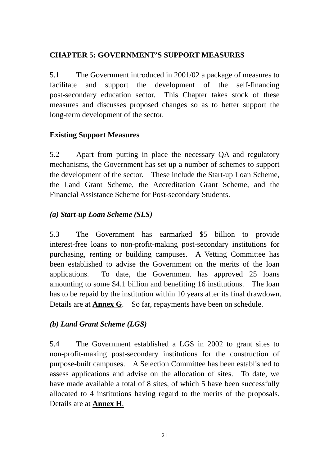#### **CHAPTER 5: GOVERNMENT'S SUPPORT MEASURES**

5.1 The Government introduced in 2001/02 a package of measures to facilitate and support the development of the self-financing post-secondary education sector. This Chapter takes stock of these measures and discusses proposed changes so as to better support the long-term development of the sector.

## **Existing Support Measures**

5.2 Apart from putting in place the necessary QA and regulatory mechanisms, the Government has set up a number of schemes to support the development of the sector. These include the Start-up Loan Scheme, the Land Grant Scheme, the Accreditation Grant Scheme, and the Financial Assistance Scheme for Post-secondary Students.

## *(a) Start-up Loan Scheme (SLS)*

5.3 The Government has earmarked \$5 billion to provide interest-free loans to non-profit-making post-secondary institutions for purchasing, renting or building campuses. A Vetting Committee has been established to advise the Government on the merits of the loan applications. To date, the Government has approved 25 loans amounting to some \$4.1 billion and benefiting 16 institutions. The loan has to be repaid by the institution within 10 years after its final drawdown. Details are at **Annex G**. So far, repayments have been on schedule.

#### *(b) Land Grant Scheme (LGS)*

5.4 The Government established a LGS in 2002 to grant sites to non-profit-making post-secondary institutions for the construction of purpose-built campuses. A Selection Committee has been established to assess applications and advise on the allocation of sites. To date, we have made available a total of 8 sites, of which 5 have been successfully allocated to 4 institutions having regard to the merits of the proposals. Details are at **Annex H**.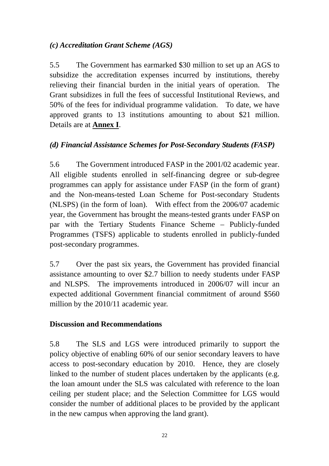## *(c) Accreditation Grant Scheme (AGS)*

5.5 The Government has earmarked \$30 million to set up an AGS to subsidize the accreditation expenses incurred by institutions, thereby relieving their financial burden in the initial years of operation. The Grant subsidizes in full the fees of successful Institutional Reviews, and 50% of the fees for individual programme validation. To date, we have approved grants to 13 institutions amounting to about \$21 million. Details are at **Annex I**.

## *(d) Financial Assistance Schemes for Post-Secondary Students (FASP)*

5.6 The Government introduced FASP in the 2001/02 academic year. All eligible students enrolled in self-financing degree or sub-degree programmes can apply for assistance under FASP (in the form of grant) and the Non-means-tested Loan Scheme for Post-secondary Students (NLSPS) (in the form of loan). With effect from the 2006/07 academic year, the Government has brought the means-tested grants under FASP on par with the Tertiary Students Finance Scheme – Publicly-funded Programmes (TSFS) applicable to students enrolled in publicly-funded post-secondary programmes.

5.7 Over the past six years, the Government has provided financial assistance amounting to over \$2.7 billion to needy students under FASP and NLSPS. The improvements introduced in 2006/07 will incur an expected additional Government financial commitment of around \$560 million by the 2010/11 academic year.

#### **Discussion and Recommendations**

5.8 The SLS and LGS were introduced primarily to support the policy objective of enabling 60% of our senior secondary leavers to have access to post-secondary education by 2010.Hence, they are closely linked to the number of student places undertaken by the applicants (e.g. the loan amount under the SLS was calculated with reference to the loan ceiling per student place; and the Selection Committee for LGS would consider the number of additional places to be provided by the applicant in the new campus when approving the land grant).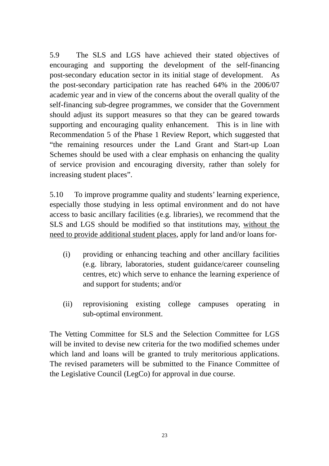5.9 The SLS and LGS have achieved their stated objectives of encouraging and supporting the development of the self-financing post-secondary education sector in its initial stage of development. As the post-secondary participation rate has reached 64% in the 2006/07 academic year and in view of the concerns about the overall quality of the self-financing sub-degree programmes, we consider that the Government should adjust its support measures so that they can be geared towards supporting and encouraging quality enhancement. This is in line with Recommendation 5 of the Phase 1 Review Report, which suggested that "the remaining resources under the Land Grant and Start-up Loan Schemes should be used with a clear emphasis on enhancing the quality of service provision and encouraging diversity, rather than solely for increasing student places".

5.10 To improve programme quality and students' learning experience, especially those studying in less optimal environment and do not have access to basic ancillary facilities (e.g. libraries), we recommend that the SLS and LGS should be modified so that institutions may, without the need to provide additional student places, apply for land and/or loans for-

- (i) providing or enhancing teaching and other ancillary facilities (e.g. library, laboratories, student guidance/career counseling centres, etc) which serve to enhance the learning experience of and support for students; and/or
- (ii) reprovisioning existing college campuses operating in sub-optimal environment.

The Vetting Committee for SLS and the Selection Committee for LGS will be invited to devise new criteria for the two modified schemes under which land and loans will be granted to truly meritorious applications. The revised parameters will be submitted to the Finance Committee of the Legislative Council (LegCo) for approval in due course.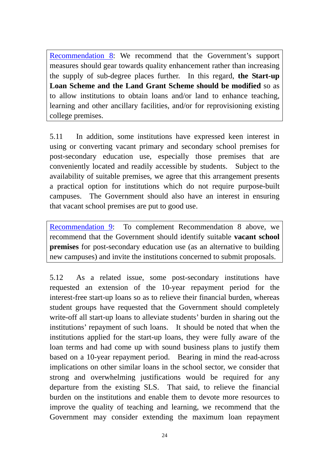Recommendation 8: We recommend that the Government's support measures should gear towards quality enhancement rather than increasing the supply of sub-degree places further. In this regard, **the Start-up Loan Scheme and the Land Grant Scheme should be modified** so as to allow institutions to obtain loans and/or land to enhance teaching, learning and other ancillary facilities, and/or for reprovisioning existing college premises.

5.11 In addition, some institutions have expressed keen interest in using or converting vacant primary and secondary school premises for post-secondary education use, especially those premises that are conveniently located and readily accessible by students. Subject to the availability of suitable premises, we agree that this arrangement presents a practical option for institutions which do not require purpose-built campuses. The Government should also have an interest in ensuring that vacant school premises are put to good use.

Recommendation 9: To complement Recommendation 8 above, we recommend that the Government should identify suitable **vacant school premises** for post-secondary education use (as an alternative to building new campuses) and invite the institutions concerned to submit proposals.

5.12 As a related issue, some post-secondary institutions have requested an extension of the 10-year repayment period for the interest-free start-up loans so as to relieve their financial burden, whereas student groups have requested that the Government should completely write-off all start-up loans to alleviate students' burden in sharing out the institutions' repayment of such loans. It should be noted that when the institutions applied for the start-up loans, they were fully aware of the loan terms and had come up with sound business plans to justify them based on a 10-year repayment period. Bearing in mind the read-across implications on other similar loans in the school sector, we consider that strong and overwhelming justifications would be required for any departure from the existing SLS. That said, to relieve the financial burden on the institutions and enable them to devote more resources to improve the quality of teaching and learning, we recommend that the Government may consider extending the maximum loan repayment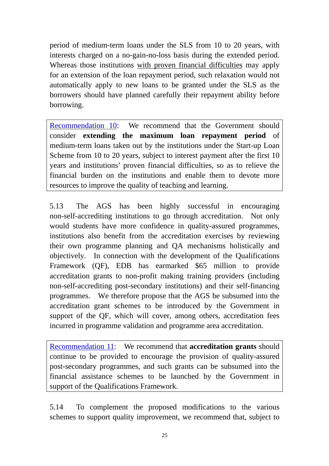period of medium-term loans under the SLS from 10 to 20 years, with interests charged on a no-gain-no-loss basis during the extended period. Whereas those institutions with proven financial difficulties may apply for an extension of the loan repayment period, such relaxation would not automatically apply to new loans to be granted under the SLS as the borrowers should have planned carefully their repayment ability before borrowing.

Recommendation 10: We recommend that the Government should consider **extending the maximum loan repayment period** of medium-term loans taken out by the institutions under the Start-up Loan Scheme from 10 to 20 years, subject to interest payment after the first 10 years and institutions' proven financial difficulties, so as to relieve the financial burden on the institutions and enable them to devote more resources to improve the quality of teaching and learning.

5.13 The AGS has been highly successful in encouraging non-self-accrediting institutions to go through accreditation. Not only would students have more confidence in quality-assured programmes, institutions also benefit from the accreditation exercises by reviewing their own programme planning and QA mechanisms holistically and objectively. In connection with the development of the Qualifications Framework (QF), EDB has earmarked \$65 million to provide accreditation grants to non-profit making training providers (including non-self-accrediting post-secondary institutions) and their self-financing programmes. We therefore propose that the AGS be subsumed into the accreditation grant schemes to be introduced by the Government in support of the QF, which will cover, among others, accreditation fees incurred in programme validation and programme area accreditation.

Recommendation 11: We recommend that **accreditation grants** should continue to be provided to encourage the provision of quality-assured post-secondary programmes, and such grants can be subsumed into the financial assistance schemes to be launched by the Government in support of the Qualifications Framework.

5.14 To complement the proposed modifications to the various schemes to support quality improvement, we recommend that, subject to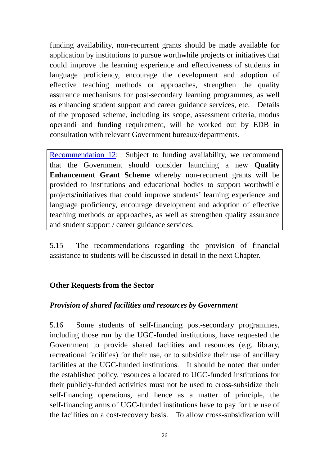funding availability, non-recurrent grants should be made available for application by institutions to pursue worthwhile projects or initiatives that could improve the learning experience and effectiveness of students in language proficiency, encourage the development and adoption of effective teaching methods or approaches, strengthen the quality assurance mechanisms for post-secondary learning programmes, as well as enhancing student support and career guidance services, etc. Details of the proposed scheme, including its scope, assessment criteria, modus operandi and funding requirement, will be worked out by EDB in consultation with relevant Government bureaux/departments.

Recommendation 12: Subject to funding availability, we recommend that the Government should consider launching a new **Quality Enhancement Grant Scheme** whereby non-recurrent grants will be provided to institutions and educational bodies to support worthwhile projects/initiatives that could improve students' learning experience and language proficiency, encourage development and adoption of effective teaching methods or approaches, as well as strengthen quality assurance and student support / career guidance services.

5.15 The recommendations regarding the provision of financial assistance to students will be discussed in detail in the next Chapter.

#### **Other Requests from the Sector**

#### *Provision of shared facilities and resources by Government*

5.16 Some students of self-financing post-secondary programmes, including those run by the UGC-funded institutions, have requested the Government to provide shared facilities and resources (e.g. library, recreational facilities) for their use, or to subsidize their use of ancillary facilities at the UGC-funded institutions. It should be noted that under the established policy, resources allocated to UGC-funded institutions for their publicly-funded activities must not be used to cross-subsidize their self-financing operations, and hence as a matter of principle, the self-financing arms of UGC-funded institutions have to pay for the use of the facilities on a cost-recovery basis. To allow cross-subsidization will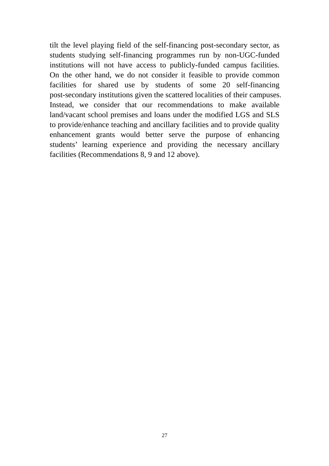tilt the level playing field of the self-financing post-secondary sector, as students studying self-financing programmes run by non-UGC-funded institutions will not have access to publicly-funded campus facilities. On the other hand, we do not consider it feasible to provide common facilities for shared use by students of some 20 self-financing post-secondary institutions given the scattered localities of their campuses. Instead, we consider that our recommendations to make available land/vacant school premises and loans under the modified LGS and SLS to provide/enhance teaching and ancillary facilities and to provide quality enhancement grants would better serve the purpose of enhancing students' learning experience and providing the necessary ancillary facilities (Recommendations 8, 9 and 12 above).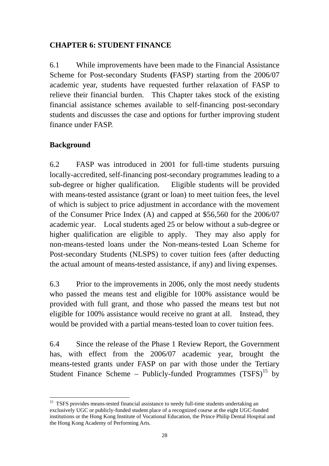#### **CHAPTER 6: STUDENT FINANCE**

6.1 While improvements have been made to the Financial Assistance Scheme for Post-secondary Students **(**FASP) starting from the 2006/07 academic year, students have requested further relaxation of FASP to relieve their financial burden. This Chapter takes stock of the existing financial assistance schemes available to self-financing post-secondary students and discusses the case and options for further improving student finance under FASP.

#### **Background**

 $\overline{a}$ 

6.2 FASP was introduced in 2001 for full-time students pursuing locally-accredited, self-financing post-secondary programmes leading to a sub-degree or higher qualification. Eligible students will be provided with means-tested assistance (grant or loan) to meet tuition fees, the level of which is subject to price adjustment in accordance with the movement of the Consumer Price Index (A) and capped at \$56,560 for the 2006/07 academic year. Local students aged 25 or below without a sub-degree or higher qualification are eligible to apply. They may also apply for non-means-tested loans under the Non-means-tested Loan Scheme for Post-secondary Students (NLSPS) to cover tuition fees (after deducting the actual amount of means-tested assistance, if any) and living expenses.

6.3 Prior to the improvements in 2006, only the most needy students who passed the means test and eligible for 100% assistance would be provided with full grant, and those who passed the means test but not eligible for 100% assistance would receive no grant at all. Instead, they would be provided with a partial means-tested loan to cover tuition fees.

6.4 Since the release of the Phase 1 Review Report, the Government has, with effect from the 2006/07 academic year, brought the means-tested grants under FASP on par with those under the Tertiary Student Finance Scheme – Publicly-funded Programmes  $(TSFS)^{15}$  by

<sup>&</sup>lt;sup>15</sup> TSFS provides means-tested financial assistance to needy full-time students undertaking an exclusively UGC or publicly-funded student place of a recognized course at the eight UGC-funded institutions or the Hong Kong Institute of Vocational Education, the Prince Philip Dental Hospital and the Hong Kong Academy of Performing Arts.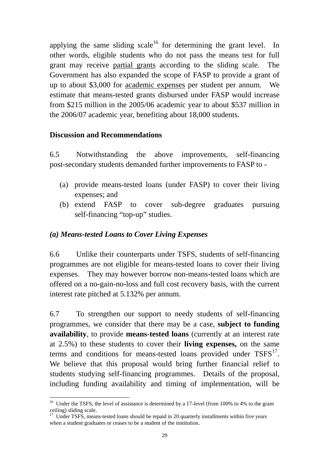applying the same sliding  $scale<sup>16</sup>$  for determining the grant level. In other words, eligible students who do not pass the means test for full grant may receive partial grants according to the sliding scale. The Government has also expanded the scope of FASP to provide a grant of up to about \$3,000 for academic expenses per student per annum. We estimate that means-tested grants disbursed under FASP would increase from \$215 million in the 2005/06 academic year to about \$537 million in the 2006/07 academic year, benefiting about 18,000 students.

#### **Discussion and Recommendations**

 $\overline{a}$ 

6.5 Notwithstanding the above improvements, self-financing post-secondary students demanded further improvements to FASP to -

- (a) provide means-tested loans (under FASP) to cover their living expenses; and
- (b) extend FASP to cover sub-degree graduates pursuing self-financing "top-up" studies.

#### *(a) Means-tested Loans to Cover Living Expenses*

6.6 Unlike their counterparts under TSFS, students of self-financing programmes are not eligible for means-tested loans to cover their living expenses. They may however borrow non-means-tested loans which are offered on a no-gain-no-loss and full cost recovery basis, with the current interest rate pitched at 5.132% per annum.

6.7 To strengthen our support to needy students of self-financing programmes, we consider that there may be a case, **subject to funding availability**, to provide **means-tested loans** (currently at an interest rate at 2.5%) to these students to cover their **living expenses,** on the same terms and conditions for means-tested loans provided under  $TSFS<sup>17</sup>$ . We believe that this proposal would bring further financial relief to students studying self-financing programmes. Details of the proposal, including funding availability and timing of implementation, will be

<sup>&</sup>lt;sup>16</sup> Under the TSFS, the level of assistance is determined by a 17-level (from 100% to 4% to the grant ceiling) sliding scale.

 $17$  Under TSFS, means-tested loans should be repaid in 20 quarterly installments within five years when a student graduates or ceases to be a student of the institution.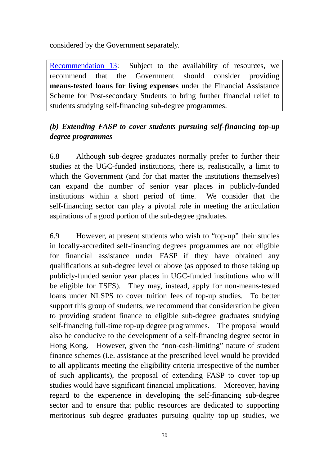considered by the Government separately.

Recommendation 13: Subject to the availability of resources, we recommend that the Government should consider providing **means-tested loans for living expenses** under the Financial Assistance Scheme for Post-secondary Students to bring further financial relief to students studying self-financing sub-degree programmes.

## *(b) Extending FASP to cover students pursuing self-financing top-up degree programmes*

6.8 Although sub-degree graduates normally prefer to further their studies at the UGC-funded institutions, there is, realistically, a limit to which the Government (and for that matter the institutions themselves) can expand the number of senior year places in publicly-funded institutions within a short period of time. We consider that the self-financing sector can play a pivotal role in meeting the articulation aspirations of a good portion of the sub-degree graduates.

6.9 However, at present students who wish to "top-up" their studies in locally-accredited self-financing degrees programmes are not eligible for financial assistance under FASP if they have obtained any qualifications at sub-degree level or above (as opposed to those taking up publicly-funded senior year places in UGC-funded institutions who will be eligible for TSFS). They may, instead, apply for non-means-tested loans under NLSPS to cover tuition fees of top-up studies. To better support this group of students, we recommend that consideration be given to providing student finance to eligible sub-degree graduates studying self-financing full-time top-up degree programmes. The proposal would also be conducive to the development of a self-financing degree sector in Hong Kong. However, given the "non-cash-limiting" nature of student finance schemes (i.e. assistance at the prescribed level would be provided to all applicants meeting the eligibility criteria irrespective of the number of such applicants), the proposal of extending FASP to cover top-up studies would have significant financial implications*.* Moreover, having regard to the experience in developing the self-financing sub-degree sector and to ensure that public resources are dedicated to supporting meritorious sub-degree graduates pursuing quality top-up studies, we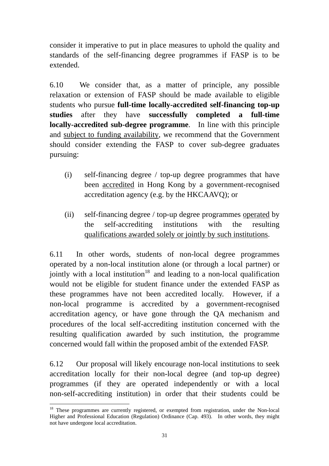consider it imperative to put in place measures to uphold the quality and standards of the self-financing degree programmes if FASP is to be extended.

6.10 We consider that, as a matter of principle, any possible relaxation or extension of FASP should be made available to eligible students who pursue **full-time locally-accredited self-financing top-up studies** after they have **successfully completed a full-time locally-accredited sub-degree programme**. In line with this principle and subject to funding availability, we recommend that the Government should consider extending the FASP to cover sub-degree graduates pursuing:

- (i) self-financing degree / top-up degree programmes that have been accredited in Hong Kong by a government-recognised accreditation agency (e.g. by the HKCAAVQ); or
- (ii) self-financing degree / top-up degree programmes operated by the self-accrediting institutions with the resulting qualifications awarded solely or jointly by such institutions.

6.11 In other words, students of non-local degree programmes operated by a non-local institution alone (or through a local partner) or jointly with a local institution<sup>18</sup> and leading to a non-local qualification would not be eligible for student finance under the extended FASP as these programmes have not been accredited locally. However, if a non-local programme is accredited by a government-recognised accreditation agency, or have gone through the QA mechanism and procedures of the local self-accrediting institution concerned with the resulting qualification awarded by such institution, the programme concerned would fall within the proposed ambit of the extended FASP.

6.12 Our proposal will likely encourage non-local institutions to seek accreditation locally for their non-local degree (and top-up degree) programmes (if they are operated independently or with a local non-self-accrediting institution) in order that their students could be

 $\overline{a}$ <sup>18</sup> These programmes are currently registered, or exempted from registration, under the Non-local Higher and Professional Education (Regulation) Ordinance (Cap. 493). In other words, they might not have undergone local accreditation.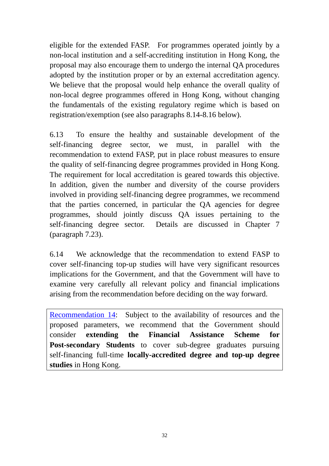eligible for the extended FASP. For programmes operated jointly by a non-local institution and a self-accrediting institution in Hong Kong, the proposal may also encourage them to undergo the internal QA procedures adopted by the institution proper or by an external accreditation agency. We believe that the proposal would help enhance the overall quality of non-local degree programmes offered in Hong Kong, without changing the fundamentals of the existing regulatory regime which is based on registration/exemption (see also paragraphs 8.14-8.16 below).

6.13 To ensure the healthy and sustainable development of the self-financing degree sector, we must, in parallel with the recommendation to extend FASP, put in place robust measures to ensure the quality of self-financing degree programmes provided in Hong Kong. The requirement for local accreditation is geared towards this objective. In addition, given the number and diversity of the course providers involved in providing self-financing degree programmes, we recommend that the parties concerned, in particular the QA agencies for degree programmes, should jointly discuss QA issues pertaining to the self-financing degree sector. Details are discussed in Chapter 7 (paragraph 7.23).

6.14 We acknowledge that the recommendation to extend FASP to cover self-financing top-up studies will have very significant resources implications for the Government, and that the Government will have to examine very carefully all relevant policy and financial implications arising from the recommendation before deciding on the way forward.

Recommendation 14: Subject to the availability of resources and the proposed parameters, we recommend that the Government should consider **extending the Financial Assistance Scheme for Post-secondary Students** to cover sub-degree graduates pursuing self-financing full-time **locally-accredited degree and top-up degree studies** in Hong Kong.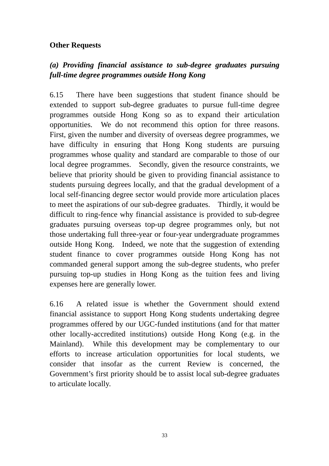#### **Other Requests**

## *(a) Providing financial assistance to sub-degree graduates pursuing full-time degree programmes outside Hong Kong*

6.15 There have been suggestions that student finance should be extended to support sub-degree graduates to pursue full-time degree programmes outside Hong Kong so as to expand their articulation opportunities. We do not recommend this option for three reasons. First, given the number and diversity of overseas degree programmes, we have difficulty in ensuring that Hong Kong students are pursuing programmes whose quality and standard are comparable to those of our local degree programmes. Secondly, given the resource constraints, we believe that priority should be given to providing financial assistance to students pursuing degrees locally, and that the gradual development of a local self-financing degree sector would provide more articulation places to meet the aspirations of our sub-degree graduates. Thirdly, it would be difficult to ring-fence why financial assistance is provided to sub-degree graduates pursuing overseas top-up degree programmes only, but not those undertaking full three-year or four-year undergraduate programmes outside Hong Kong. Indeed, we note that the suggestion of extending student finance to cover programmes outside Hong Kong has not commanded general support among the sub-degree students, who prefer pursuing top-up studies in Hong Kong as the tuition fees and living expenses here are generally lower.

6.16 A related issue is whether the Government should extend financial assistance to support Hong Kong students undertaking degree programmes offered by our UGC-funded institutions (and for that matter other locally-accredited institutions) outside Hong Kong (e.g. in the Mainland). While this development may be complementary to our efforts to increase articulation opportunities for local students, we consider that insofar as the current Review is concerned, the Government's first priority should be to assist local sub-degree graduates to articulate locally.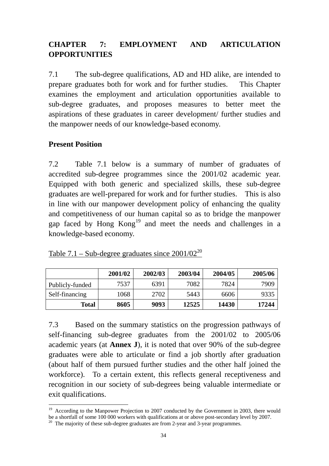## **CHAPTER 7: EMPLOYMENT AND ARTICULATION OPPORTUNITIES**

7.1 The sub-degree qualifications, AD and HD alike, are intended to prepare graduates both for work and for further studies. This Chapter examines the employment and articulation opportunities available to sub-degree graduates, and proposes measures to better meet the aspirations of these graduates in career development/ further studies and the manpower needs of our knowledge-based economy.

#### **Present Position**

 $\overline{a}$ 

7.2 Table 7.1 below is a summary of number of graduates of accredited sub-degree programmes since the 2001/02 academic year. Equipped with both generic and specialized skills, these sub-degree graduates are well-prepared for work and for further studies. This is also in line with our manpower development policy of enhancing the quality and competitiveness of our human capital so as to bridge the manpower gap faced by Hong Kong<sup>19</sup> and meet the needs and challenges in a knowledge-based economy.

|                 | 2001/02 | 2002/03 | 2003/04 | 2004/05 | 2005/06 |
|-----------------|---------|---------|---------|---------|---------|
| Publicly-funded | 7537    | 6391    | 7082    | 7824    | 7909    |
| Self-financing  | 1068    | 2702    | 5443    | 6606    | 9335    |
| <b>Total</b>    | 8605    | 9093    | 12525   | 14430   | 17244   |

| Table 7.1 – Sub-degree graduates since $2001/02^{20}$ |
|-------------------------------------------------------|
|-------------------------------------------------------|

7.3 Based on the summary statistics on the progression pathways of self-financing sub-degree graduates from the 2001/02 to 2005/06 academic years (at **Annex J**), it is noted that over 90% of the sub-degree graduates were able to articulate or find a job shortly after graduation (about half of them pursued further studies and the other half joined the workforce). To a certain extent, this reflects general receptiveness and recognition in our society of sub-degrees being valuable intermediate or exit qualifications.

<sup>&</sup>lt;sup>19</sup> According to the Manpower Projection to 2007 conducted by the Government in 2003, there would be a shortfall of some 100 000 workers with qualifications at or above post-secondary level by 2007.

<sup>&</sup>lt;sup>20</sup> The majority of these sub-degree graduates are from 2-year and 3-year programmes.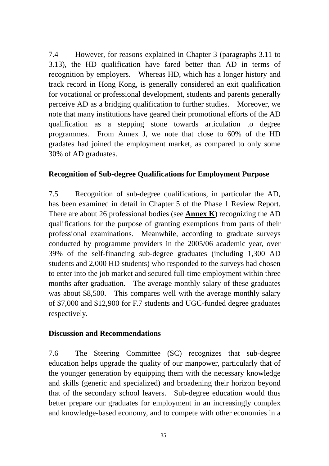7.4 However, for reasons explained in Chapter 3 (paragraphs 3.11 to 3.13), the HD qualification have fared better than AD in terms of recognition by employers. Whereas HD, which has a longer history and track record in Hong Kong, is generally considered an exit qualification for vocational or professional development, students and parents generally perceive AD as a bridging qualification to further studies. Moreover, we note that many institutions have geared their promotional efforts of the AD qualification as a stepping stone towards articulation to degree programmes. From Annex J, we note that close to 60% of the HD gradates had joined the employment market, as compared to only some 30% of AD graduates.

### **Recognition of Sub-degree Qualifications for Employment Purpose**

7.5 Recognition of sub-degree qualifications, in particular the AD, has been examined in detail in Chapter 5 of the Phase 1 Review Report. There are about 26 professional bodies (see **Annex K**) recognizing the AD qualifications for the purpose of granting exemptions from parts of their professional examinations. Meanwhile, according to graduate surveys conducted by programme providers in the 2005/06 academic year, over 39% of the self-financing sub-degree graduates (including 1,300 AD students and 2,000 HD students) who responded to the surveys had chosen to enter into the job market and secured full-time employment within three months after graduation. The average monthly salary of these graduates was about \$8,500. This compares well with the average monthly salary of \$7,000 and \$12,900 for F.7 students and UGC-funded degree graduates respectively.

### **Discussion and Recommendations**

7.6 The Steering Committee (SC) recognizes that sub-degree education helps upgrade the quality of our manpower, particularly that of the younger generation by equipping them with the necessary knowledge and skills (generic and specialized) and broadening their horizon beyond that of the secondary school leavers. Sub-degree education would thus better prepare our graduates for employment in an increasingly complex and knowledge-based economy, and to compete with other economies in a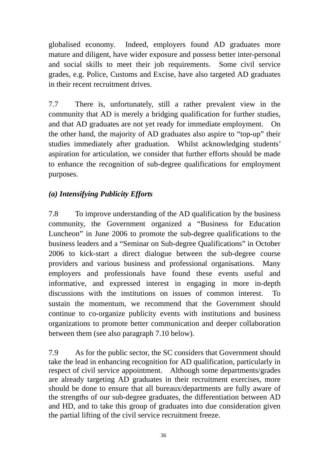globalised economy. Indeed, employers found AD graduates more mature and diligent, have wider exposure and possess better inter-personal and social skills to meet their job requirements. Some civil service grades, e.g. Police, Customs and Excise, have also targeted AD graduates in their recent recruitment drives.

7.7 There is, unfortunately, still a rather prevalent view in the community that AD is merely a bridging qualification for further studies, and that AD graduates are not yet ready for immediate employment. On the other hand, the majority of AD graduates also aspire to "top-up" their studies immediately after graduation. Whilst acknowledging students' aspiration for articulation, we consider that further efforts should be made to enhance the recognition of sub-degree qualifications for employment purposes.

# *(a) Intensifying Publicity Efforts*

7.8 To improve understanding of the AD qualification by the business community, the Government organized a "Business for Education Luncheon" in June 2006 to promote the sub-degree qualifications to the business leaders and a "Seminar on Sub-degree Qualifications" in October 2006 to kick-start a direct dialogue between the sub-degree course providers and various business and professional organisations. Many employers and professionals have found these events useful and informative, and expressed interest in engaging in more in-depth discussions with the institutions on issues of common interest. sustain the momentum, we recommend that the Government should continue to co-organize publicity events with institutions and business organizations to promote better communication and deeper collaboration between them (see also paragraph 7.10 below).

7.9 As for the public sector, the SC considers that Government should take the lead in enhancing recognition for AD qualification, particularly in respect of civil service appointment. Although some departments/grades are already targeting AD graduates in their recruitment exercises, more should be done to ensure that all bureaux/departments are fully aware of the strengths of our sub-degree graduates, the differentiation between AD and HD, and to take this group of graduates into due consideration given the partial lifting of the civil service recruitment freeze.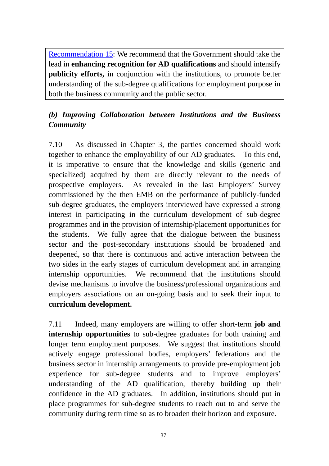Recommendation 15: We recommend that the Government should take the lead in **enhancing recognition for AD qualifications** and should intensify **publicity efforts,** in conjunction with the institutions, to promote better understanding of the sub-degree qualifications for employment purpose in both the business community and the public sector.

# *(b) Improving Collaboration between Institutions and the Business Community*

7.10 As discussed in Chapter 3, the parties concerned should work together to enhance the employability of our AD graduates. To this end, it is imperative to ensure that the knowledge and skills (generic and specialized) acquired by them are directly relevant to the needs of prospective employers. As revealed in the last Employers' Survey commissioned by the then EMB on the performance of publicly-funded sub-degree graduates, the employers interviewed have expressed a strong interest in participating in the curriculum development of sub-degree programmes and in the provision of internship/placement opportunities for the students. We fully agree that the dialogue between the business sector and the post-secondary institutions should be broadened and deepened, so that there is continuous and active interaction between the two sides in the early stages of curriculum development and in arranging internship opportunities. We recommend that the institutions should devise mechanisms to involve the business/professional organizations and employers associations on an on-going basis and to seek their input to **curriculum development.**

7.11 Indeed, many employers are willing to offer short-term **job and internship opportunities** to sub-degree graduates for both training and longer term employment purposes. We suggest that institutions should actively engage professional bodies, employers' federations and the business sector in internship arrangements to provide pre-employment job experience for sub-degree students and to improve employers' understanding of the AD qualification, thereby building up their confidence in the AD graduates. In addition, institutions should put in place programmes for sub-degree students to reach out to and serve the community during term time so as to broaden their horizon and exposure.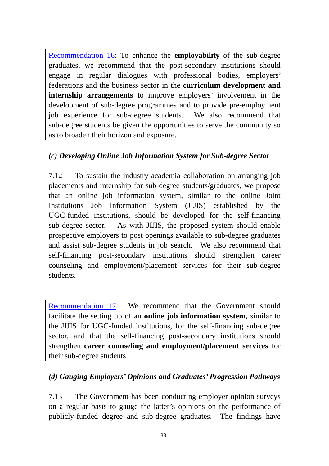Recommendation 16: To enhance the **employability** of the sub-degree graduates, we recommend that the post-secondary institutions should engage in regular dialogues with professional bodies, employers' federations and the business sector in the **curriculum development and internship arrangements** to improve employers' involvement in the development of sub-degree programmes and to provide pre-employment job experience for sub-degree students. We also recommend that sub-degree students be given the opportunities to serve the community so as to broaden their horizon and exposure.

## *(c) Developing Online Job Information System for Sub-degree Sector*

7.12 To sustain the industry-academia collaboration on arranging job placements and internship for sub-degree students/graduates, we propose that an online job information system, similar to the online Joint Institutions Job Information System (JIJIS) established by the UGC-funded institutions, should be developed for the self-financing sub-degree sector. As with JIJIS, the proposed system should enable prospective employers to post openings available to sub-degree graduates and assist sub-degree students in job search. We also recommend that self-financing post-secondary institutions should strengthen career counseling and employment/placement services for their sub-degree students.

Recommendation 17: We recommend that the Government should facilitate the setting up of an **online job information system,** similar to the JIJIS for UGC-funded institutions, for the self-financing sub-degree sector, and that the self-financing post-secondary institutions should strengthen **career counseling and employment/placement services** for their sub-degree students.

# *(d) Gauging Employers' Opinions and Graduates' Progression Pathways*

7.13 The Government has been conducting employer opinion surveys on a regular basis to gauge the latter's opinions on the performance of publicly-funded degree and sub-degree graduates. The findings have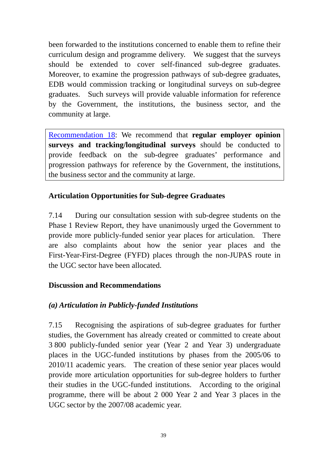been forwarded to the institutions concerned to enable them to refine their curriculum design and programme delivery. We suggest that the surveys should be extended to cover self-financed sub-degree graduates. Moreover, to examine the progression pathways of sub-degree graduates, EDB would commission tracking or longitudinal surveys on sub-degree graduates. Such surveys will provide valuable information for reference by the Government, the institutions, the business sector, and the community at large.

Recommendation 18: We recommend that **regular employer opinion surveys and tracking/longitudinal surveys** should be conducted to provide feedback on the sub-degree graduates' performance and progression pathways for reference by the Government, the institutions, the business sector and the community at large.

## **Articulation Opportunities for Sub-degree Graduates**

7.14 During our consultation session with sub-degree students on the Phase 1 Review Report, they have unanimously urged the Government to provide more publicly-funded senior year places for articulation. There are also complaints about how the senior year places and the First-Year-First-Degree (FYFD) places through the non-JUPAS route in the UGC sector have been allocated.

### **Discussion and Recommendations**

### *(a) Articulation in Publicly-funded Institutions*

7.15 Recognising the aspirations of sub-degree graduates for further studies, the Government has already created or committed to create about 3 800 publicly-funded senior year (Year 2 and Year 3) undergraduate places in the UGC-funded institutions by phases from the 2005/06 to 2010/11 academic years. The creation of these senior year places would provide more articulation opportunities for sub-degree holders to further their studies in the UGC-funded institutions. According to the original programme, there will be about 2 000 Year 2 and Year 3 places in the UGC sector by the 2007/08 academic year.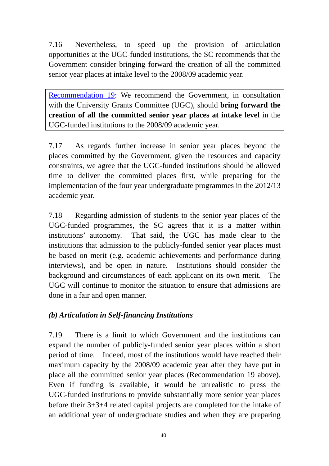7.16 Nevertheless, to speed up the provision of articulation opportunities at the UGC-funded institutions, the SC recommends that the Government consider bringing forward the creation of all the committed senior year places at intake level to the 2008/09 academic year.

Recommendation 19: We recommend the Government, in consultation with the University Grants Committee (UGC), should **bring forward the creation of all the committed senior year places at intake level** in the UGC-funded institutions to the 2008/09 academic year.

7.17 As regards further increase in senior year places beyond the places committed by the Government, given the resources and capacity constraints, we agree that the UGC-funded institutions should be allowed time to deliver the committed places first, while preparing for the implementation of the four year undergraduate programmes in the 2012/13 academic year.

7.18 Regarding admission of students to the senior year places of the UGC-funded programmes, the SC agrees that it is a matter within institutions' autonomy. That said, the UGC has made clear to the institutions that admission to the publicly-funded senior year places must be based on merit (e.g. academic achievements and performance during interviews), and be open in nature. Institutions should consider the background and circumstances of each applicant on its own merit. The UGC will continue to monitor the situation to ensure that admissions are done in a fair and open manner.

# *(b) Articulation in Self-financing Institutions*

7.19 There is a limit to which Government and the institutions can expand the number of publicly-funded senior year places within a short period of time. Indeed, most of the institutions would have reached their maximum capacity by the 2008/09 academic year after they have put in place all the committed senior year places (Recommendation 19 above). Even if funding is available, it would be unrealistic to press the UGC-funded institutions to provide substantially more senior year places before their 3+3+4 related capital projects are completed for the intake of an additional year of undergraduate studies and when they are preparing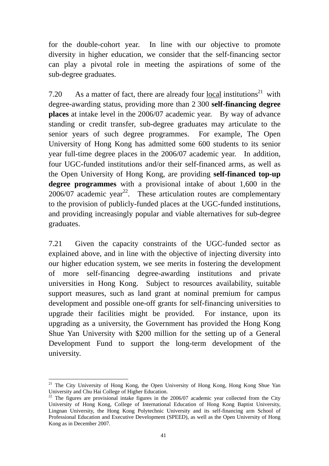for the double-cohort year. In line with our objective to promote diversity in higher education, we consider that the self-financing sector can play a pivotal role in meeting the aspirations of some of the sub-degree graduates.

7.20 As a matter of fact, there are already four local institutions<sup>21</sup> with degree-awarding status, providing more than 2 300 **self-financing degree places** at intake level in the 2006/07 academic year. By way of advance standing or credit transfer, sub-degree graduates may articulate to the senior years of such degree programmes. For example, The Open University of Hong Kong has admitted some 600 students to its senior year full-time degree places in the 2006/07 academic year. In addition, four UGC-funded institutions and/or their self-financed arms, as well as the Open University of Hong Kong, are providing **self-financed top-up degree programmes** with a provisional intake of about 1,600 in the 2006/07 academic year<sup>22</sup>. These articulation routes are complementary to the provision of publicly-funded places at the UGC-funded institutions, and providing increasingly popular and viable alternatives for sub-degree graduates.

7.21 Given the capacity constraints of the UGC-funded sector as explained above, and in line with the objective of injecting diversity into our higher education system, we see merits in fostering the development of more self-financing degree-awarding institutions and private universities in Hong Kong. Subject to resources availability, suitable support measures, such as land grant at nominal premium for campus development and possible one-off grants for self-financing universities to upgrade their facilities might be provided. For instance, upon its upgrading as a university, the Government has provided the Hong Kong Shue Yan University with \$200 million for the setting up of a General Development Fund to support the long-term development of the university.

 $\overline{a}$ 

<sup>&</sup>lt;sup>21</sup> The City University of Hong Kong, the Open University of Hong Kong, Hong Kong Shue Yan University and Chu Hai College of Higher Education.

<sup>&</sup>lt;sup>22</sup> The figures are provisional intake figures in the 2006/07 academic year collected from the City University of Hong Kong, College of International Education of Hong Kong Baptist University, Lingnan University, the Hong Kong Polytechnic University and its self-financing arm School of Professional Education and Executive Development (SPEED), as well as the Open University of Hong Kong as in December 2007.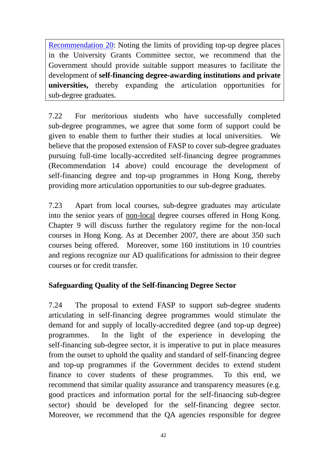Recommendation 20: Noting the limits of providing top-up degree places in the University Grants Committee sector, we recommend that the Government should provide suitable support measures to facilitate the development of **self-financing degree-awarding institutions and private universities,** thereby expanding the articulation opportunities for sub-degree graduates.

7.22 For meritorious students who have successfully completed sub-degree programmes, we agree that some form of support could be given to enable them to further their studies at local universities. We believe that the proposed extension of FASP to cover sub-degree graduates pursuing full-time locally-accredited self-financing degree programmes (Recommendation 14 above) could encourage the development of self-financing degree and top-up programmes in Hong Kong, thereby providing more articulation opportunities to our sub-degree graduates.

7.23 Apart from local courses, sub-degree graduates may articulate into the senior years of non-local degree courses offered in Hong Kong. Chapter 9 will discuss further the regulatory regime for the non-local courses in Hong Kong. As at December 2007, there are about 350 such courses being offered.Moreover, some 160 institutions in 10 countries and regions recognize our AD qualifications for admission to their degree courses or for credit transfer.

### **Safeguarding Quality of the Self-financing Degree Sector**

7.24 The proposal to extend FASP to support sub-degree students articulating in self-financing degree programmes would stimulate the demand for and supply of locally-accredited degree (and top-up degree) programmes. In the light of the experience in developing the self-financing sub-degree sector, it is imperative to put in place measures from the outset to uphold the quality and standard of self-financing degree and top-up programmes if the Government decides to extend student finance to cover students of these programmes. To this end, we recommend that similar quality assurance and transparency measures (e.g. good practices and information portal for the self-financing sub-degree sector) should be developed for the self-financing degree sector. Moreover, we recommend that the QA agencies responsible for degree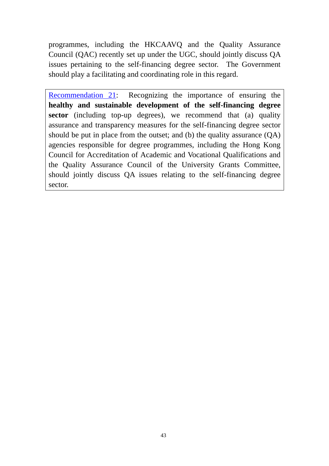programmes, including the HKCAAVQ and the Quality Assurance Council (QAC) recently set up under the UGC, should jointly discuss QA issues pertaining to the self-financing degree sector. The Government should play a facilitating and coordinating role in this regard.

Recommendation 21: Recognizing the importance of ensuring the **healthy and sustainable development of the self-financing degree sector** (including top-up degrees), we recommend that (a) quality assurance and transparency measures for the self-financing degree sector should be put in place from the outset; and (b) the quality assurance (QA) agencies responsible for degree programmes, including the Hong Kong Council for Accreditation of Academic and Vocational Qualifications and the Quality Assurance Council of the University Grants Committee, should jointly discuss QA issues relating to the self-financing degree sector.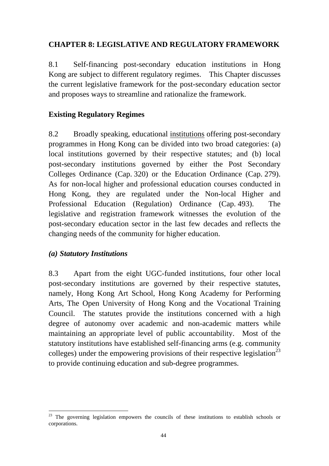### **CHAPTER 8: LEGISLATIVE AND REGULATORY FRAMEWORK**

8.1 Self-financing post-secondary education institutions in Hong Kong are subject to different regulatory regimes. This Chapter discusses the current legislative framework for the post-secondary education sector and proposes ways to streamline and rationalize the framework.

### **Existing Regulatory Regimes**

8.2 Broadly speaking, educational institutions offering post-secondary programmes in Hong Kong can be divided into two broad categories: (a) local institutions governed by their respective statutes; and (b) local post-secondary institutions governed by either the Post Secondary Colleges Ordinance (Cap. 320) or the Education Ordinance (Cap. 279). As for non-local higher and professional education courses conducted in Hong Kong, they are regulated under the Non-local Higher and Professional Education (Regulation) Ordinance (Cap. 493). The legislative and registration framework witnesses the evolution of the post-secondary education sector in the last few decades and reflects the changing needs of the community for higher education.

### *(a) Statutory Institutions*

8.3 Apart from the eight UGC-funded institutions, four other local post-secondary institutions are governed by their respective statutes, namely, Hong Kong Art School, Hong Kong Academy for Performing Arts, The Open University of Hong Kong and the Vocational Training Council. The statutes provide the institutions concerned with a high degree of autonomy over academic and non-academic matters while maintaining an appropriate level of public accountability. Most of the statutory institutions have established self-financing arms (e.g. community colleges) under the empowering provisions of their respective legislation<sup>23</sup> to provide continuing education and sub-degree programmes.

 $\overline{a}$ <sup>23</sup> The governing legislation empowers the councils of these institutions to establish schools or corporations.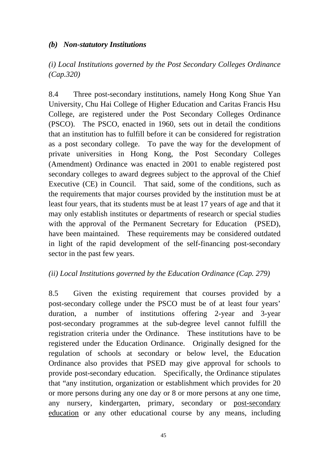### *(b) Non-statutory Institutions*

*(i) Local Institutions governed by the Post Secondary Colleges Ordinance (Cap.320)* 

8.4 Three post-secondary institutions, namely Hong Kong Shue Yan University, Chu Hai College of Higher Education and Caritas Francis Hsu College, are registered under the Post Secondary Colleges Ordinance (PSCO). The PSCO, enacted in 1960, sets out in detail the conditions that an institution has to fulfill before it can be considered for registration as a post secondary college. To pave the way for the development of private universities in Hong Kong, the Post Secondary Colleges (Amendment) Ordinance was enacted in 2001 to enable registered post secondary colleges to award degrees subject to the approval of the Chief Executive (CE) in Council. That said, some of the conditions, such as the requirements that major courses provided by the institution must be at least four years, that its students must be at least 17 years of age and that it may only establish institutes or departments of research or special studies with the approval of the Permanent Secretary for Education (PSED), have been maintained. These requirements may be considered outdated in light of the rapid development of the self-financing post-secondary sector in the past few years.

### *(ii) Local Institutions governed by the Education Ordinance (Cap. 279)*

8.5 Given the existing requirement that courses provided by a post-secondary college under the PSCO must be of at least four years' duration, a number of institutions offering 2-year and 3-year post-secondary programmes at the sub-degree level cannot fulfill the registration criteria under the Ordinance. These institutions have to be registered under the Education Ordinance. Originally designed for the regulation of schools at secondary or below level, the Education Ordinance also provides that PSED may give approval for schools to provide post-secondary education. Specifically, the Ordinance stipulates that "any institution, organization or establishment which provides for 20 or more persons during any one day or 8 or more persons at any one time, any nursery, kindergarten, primary, secondary or post-secondary education or any other educational course by any means, including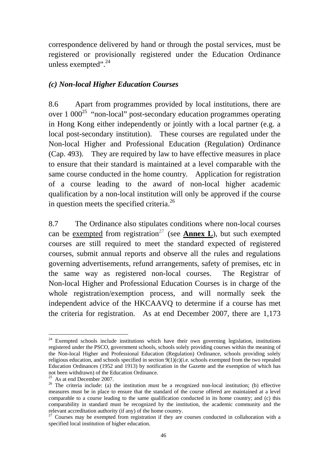correspondence delivered by hand or through the postal services, must be registered or provisionally registered under the Education Ordinance unless exempted". $^{24}$ 

#### *(c) Non-local Higher Education Courses*

8.6 Apart from programmes provided by local institutions, there are over  $1\,000^{25}$  "non-local" post-secondary education programmes operating in Hong Kong either independently or jointly with a local partner (e.g. a local post-secondary institution). These courses are regulated under the Non-local Higher and Professional Education (Regulation) Ordinance (Cap. 493). They are required by law to have effective measures in place to ensure that their standard is maintained at a level comparable with the same course conducted in the home country. Application for registration of a course leading to the award of non-local higher academic qualification by a non-local institution will only be approved if the course in question meets the specified criteria.<sup>26</sup>

8.7 The Ordinance also stipulates conditions where non-local courses can be exempted from registration<sup>27</sup> (see **Annex L**), but such exempted courses are still required to meet the standard expected of registered courses, submit annual reports and observe all the rules and regulations governing advertisements, refund arrangements, safety of premises, etc in the same way as registered non-local courses. The Registrar of Non-local Higher and Professional Education Courses is in charge of the whole registration/exemption process, and will normally seek the independent advice of the HKCAAVQ to determine if a course has met the criteria for registration. As at end December 2007, there are 1,173

 $\overline{a}$ 

<sup>&</sup>lt;sup>24</sup> Exempted schools include institutions which have their own governing legislation, institutions registered under the PSCO, government schools, schools solely providing courses within the meaning of the Non-local Higher and Professional Education (Regulation) Ordinance, schools providing solely religious education, and schools specified in section 9(1)(c)(i.e. schools exempted from the two repealed Education Ordinances (1952 and 1913) by notification in the Gazette and the exemption of which has not been withdrawn) of the Education Ordinance.

 $25$  As at end December 2007.

<sup>&</sup>lt;sup>26</sup> The criteria include: (a) the institution must be a recognized non-local institution; (b) effective measures must be in place to ensure that the standard of the course offered are maintained at a level comparable to a course leading to the same qualification conducted in its home country; and (c) this comparability in standard must be recognized by the institution, the academic community and the relevant accreditation authority (if any) of the home country.<br><sup>27</sup> Courses may be exempted from registration if they are courses conducted in collaboration with a

specified local institution of higher education.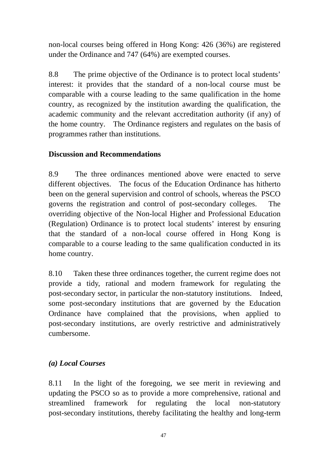non-local courses being offered in Hong Kong: 426 (36%) are registered under the Ordinance and 747 (64%) are exempted courses.

8.8 The prime objective of the Ordinance is to protect local students' interest: it provides that the standard of a non-local course must be comparable with a course leading to the same qualification in the home country, as recognized by the institution awarding the qualification, the academic community and the relevant accreditation authority (if any) of the home country. The Ordinance registers and regulates on the basis of programmes rather than institutions.

### **Discussion and Recommendations**

8.9 The three ordinances mentioned above were enacted to serve different objectives. The focus of the Education Ordinance has hitherto been on the general supervision and control of schools, whereas the PSCO governs the registration and control of post-secondary colleges. The overriding objective of the Non-local Higher and Professional Education (Regulation) Ordinance is to protect local students' interest by ensuring that the standard of a non-local course offered in Hong Kong is comparable to a course leading to the same qualification conducted in its home country.

8.10 Taken these three ordinances together, the current regime does not provide a tidy, rational and modern framework for regulating the post-secondary sector, in particular the non-statutory institutions. Indeed, some post-secondary institutions that are governed by the Education Ordinance have complained that the provisions, when applied to post-secondary institutions, are overly restrictive and administratively cumbersome.

### *(a) Local Courses*

8.11 In the light of the foregoing, we see merit in reviewing and updating the PSCO so as to provide a more comprehensive, rational and streamlined framework for regulating the local non-statutory post-secondary institutions, thereby facilitating the healthy and long-term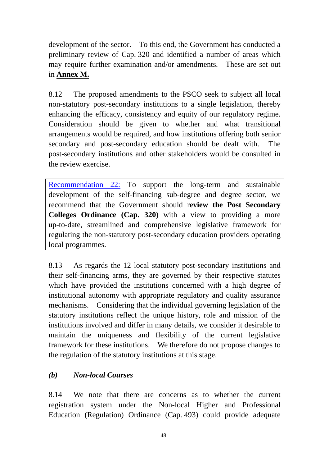development of the sector. To this end, the Government has conducted a preliminary review of Cap. 320 and identified a number of areas which may require further examination and/or amendments. These are set out in **Annex M.**

8.12 The proposed amendments to the PSCO seek to subject all local non-statutory post-secondary institutions to a single legislation, thereby enhancing the efficacy, consistency and equity of our regulatory regime. Consideration should be given to whether and what transitional arrangements would be required, and how institutions offering both senior secondary and post-secondary education should be dealt with. The post-secondary institutions and other stakeholders would be consulted in the review exercise.

Recommendation 22: To support the long-term and sustainable development of the self-financing sub-degree and degree sector, we recommend that the Government should r**eview the Post Secondary Colleges Ordinance (Cap. 320)** with a view to providing a more up-to-date, streamlined and comprehensive legislative framework for regulating the non-statutory post-secondary education providers operating local programmes.

8.13 As regards the 12 local statutory post-secondary institutions and their self-financing arms, they are governed by their respective statutes which have provided the institutions concerned with a high degree of institutional autonomy with appropriate regulatory and quality assurance mechanisms. Considering that the individual governing legislation of the statutory institutions reflect the unique history, role and mission of the institutions involved and differ in many details, we consider it desirable to maintain the uniqueness and flexibility of the current legislative framework for these institutions. We therefore do not propose changes to the regulation of the statutory institutions at this stage.

# *(b) Non-local Courses*

8.14 We note that there are concerns as to whether the current registration system under the Non-local Higher and Professional Education (Regulation) Ordinance (Cap. 493) could provide adequate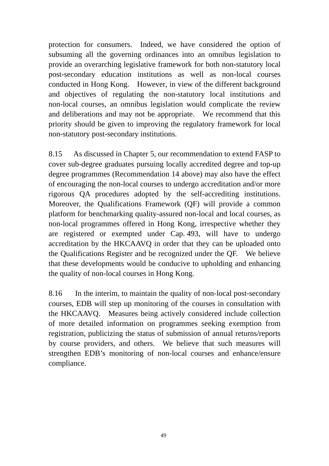protection for consumers. Indeed, we have considered the option of subsuming all the governing ordinances into an omnibus legislation to provide an overarching legislative framework for both non-statutory local post-secondary education institutions as well as non-local courses conducted in Hong Kong. However, in view of the different background and objectives of regulating the non-statutory local institutions and non-local courses, an omnibus legislation would complicate the review and deliberations and may not be appropriate. We recommend that this priority should be given to improving the regulatory framework for local non-statutory post-secondary institutions.

8.15 As discussed in Chapter 5, our recommendation to extend FASP to cover sub-degree graduates pursuing locally accredited degree and top-up degree programmes (Recommendation 14 above) may also have the effect of encouraging the non-local courses to undergo accreditation and/or more rigorous QA procedures adopted by the self-accrediting institutions. Moreover, the Qualifications Framework (QF) will provide a common platform for benchmarking quality-assured non-local and local courses, as non-local programmes offered in Hong Kong, irrespective whether they are registered or exempted under Cap. 493, will have to undergo accreditation by the HKCAAVQ in order that they can be uploaded onto the Qualifications Register and be recognized under the QF. We believe that these developments would be conducive to upholding and enhancing the quality of non-local courses in Hong Kong.

8.16 In the interim, to maintain the quality of non-local post-secondary courses, EDB will step up monitoring of the courses in consultation with the HKCAAVQ. Measures being actively considered include collection of more detailed information on programmes seeking exemption from registration, publicizing the status of submission of annual returns/reports by course providers, and others. We believe that such measures will strengthen EDB's monitoring of non-local courses and enhance/ensure compliance.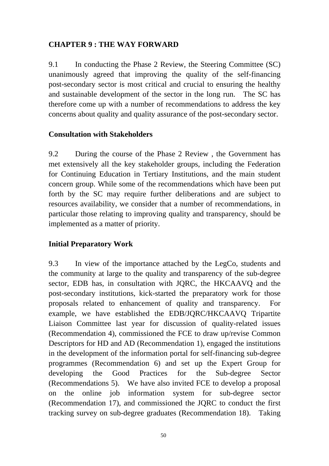### **CHAPTER 9 : THE WAY FORWARD**

9.1 In conducting the Phase 2 Review, the Steering Committee (SC) unanimously agreed that improving the quality of the self-financing post-secondary sector is most critical and crucial to ensuring the healthy and sustainable development of the sector in the long run. The SC has therefore come up with a number of recommendations to address the key concerns about quality and quality assurance of the post-secondary sector.

### **Consultation with Stakeholders**

9.2 During the course of the Phase 2 Review , the Government has met extensively all the key stakeholder groups, including the Federation for Continuing Education in Tertiary Institutions, and the main student concern group. While some of the recommendations which have been put forth by the SC may require further deliberations and are subject to resources availability, we consider that a number of recommendations, in particular those relating to improving quality and transparency, should be implemented as a matter of priority.

### **Initial Preparatory Work**

9.3 In view of the importance attached by the LegCo, students and the community at large to the quality and transparency of the sub-degree sector, EDB has, in consultation with JQRC, the HKCAAVQ and the post-secondary institutions, kick-started the preparatory work for those proposals related to enhancement of quality and transparency. For example, we have established the EDB/JQRC/HKCAAVQ Tripartite Liaison Committee last year for discussion of quality-related issues (Recommendation 4), commissioned the FCE to draw up/revise Common Descriptors for HD and AD (Recommendation 1), engaged the institutions in the development of the information portal for self-financing sub-degree programmes (Recommendation 6) and set up the Expert Group for developing the Good Practices for the Sub-degree Sector (Recommendations 5). We have also invited FCE to develop a proposal on the online job information system for sub-degree sector (Recommendation 17), and commissioned the JQRC to conduct the first tracking survey on sub-degree graduates (Recommendation 18). Taking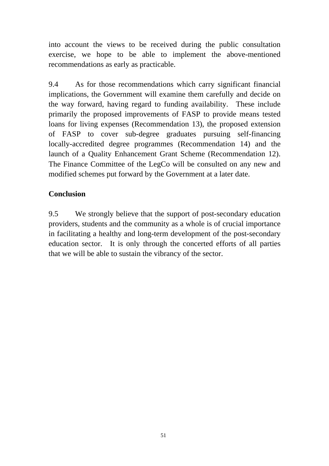into account the views to be received during the public consultation exercise, we hope to be able to implement the above-mentioned recommendations as early as practicable.

9.4 As for those recommendations which carry significant financial implications, the Government will examine them carefully and decide on the way forward, having regard to funding availability. These include primarily the proposed improvements of FASP to provide means tested loans for living expenses (Recommendation 13), the proposed extension of FASP to cover sub-degree graduates pursuing self-financing locally-accredited degree programmes (Recommendation 14) and the launch of a Quality Enhancement Grant Scheme (Recommendation 12). The Finance Committee of the LegCo will be consulted on any new and modified schemes put forward by the Government at a later date.

### **Conclusion**

9.5 We strongly believe that the support of post-secondary education providers, students and the community as a whole is of crucial importance in facilitating a healthy and long-term development of the post-secondary education sector. It is only through the concerted efforts of all parties that we will be able to sustain the vibrancy of the sector.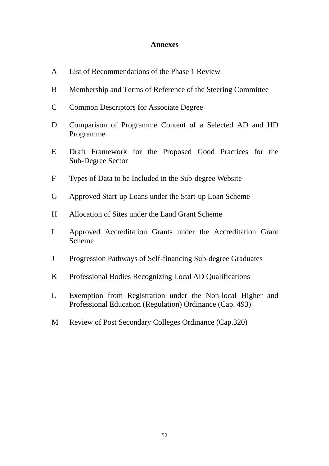#### **Annexes**

- A List of Recommendations of the Phase 1 Review
- B Membership and Terms of Reference of the Steering Committee
- C Common Descriptors for Associate Degree
- D Comparison of Programme Content of a Selected AD and HD Programme
- E Draft Framework for the Proposed Good Practices for the Sub-Degree Sector
- F Types of Data to be Included in the Sub-degree Website
- G Approved Start-up Loans under the Start-up Loan Scheme
- H Allocation of Sites under the Land Grant Scheme
- I Approved Accreditation Grants under the Accreditation Grant Scheme
- J Progression Pathways of Self-financing Sub-degree Graduates
- K Professional Bodies Recognizing Local AD Qualifications
- L Exemption from Registration under the Non-local Higher and Professional Education (Regulation) Ordinance (Cap. 493)
- M Review of Post Secondary Colleges Ordinance (Cap.320)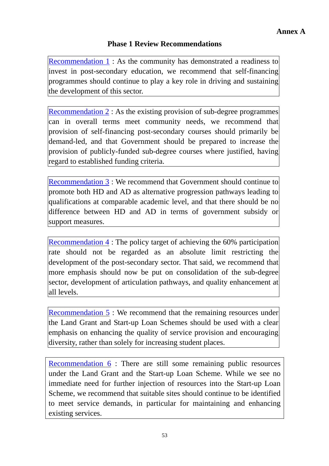### **Phase 1 Review Recommendations**

Recommendation 1: As the community has demonstrated a readiness to invest in post-secondary education, we recommend that self-financing programmes should continue to play a key role in driving and sustaining the development of this sector.

Recommendation 2 : As the existing provision of sub-degree programmes can in overall terms meet community needs, we recommend that provision of self-financing post-secondary courses should primarily be demand-led, and that Government should be prepared to increase the provision of publicly-funded sub-degree courses where justified, having regard to established funding criteria.

Recommendation 3 : We recommend that Government should continue to promote both HD and AD as alternative progression pathways leading to qualifications at comparable academic level, and that there should be no difference between HD and AD in terms of government subsidy or support measures.

Recommendation 4 : The policy target of achieving the 60% participation rate should not be regarded as an absolute limit restricting the development of the post-secondary sector. That said, we recommend that more emphasis should now be put on consolidation of the sub-degree sector, development of articulation pathways, and quality enhancement at all levels.

Recommendation 5 : We recommend that the remaining resources under the Land Grant and Start-up Loan Schemes should be used with a clear emphasis on enhancing the quality of service provision and encouraging diversity, rather than solely for increasing student places.

Recommendation 6 : There are still some remaining public resources under the Land Grant and the Start-up Loan Scheme. While we see no immediate need for further injection of resources into the Start-up Loan Scheme, we recommend that suitable sites should continue to be identified to meet service demands, in particular for maintaining and enhancing existing services.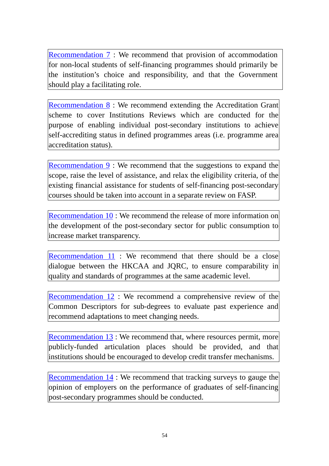Recommendation 7 : We recommend that provision of accommodation for non-local students of self-financing programmes should primarily be the institution's choice and responsibility, and that the Government should play a facilitating role.

Recommendation 8 : We recommend extending the Accreditation Grant scheme to cover Institutions Reviews which are conducted for the purpose of enabling individual post-secondary institutions to achieve self-accrediting status in defined programmes areas (i.e. programme area accreditation status).

Recommendation 9 : We recommend that the suggestions to expand the scope, raise the level of assistance, and relax the eligibility criteria, of the existing financial assistance for students of self-financing post-secondary courses should be taken into account in a separate review on FASP.

Recommendation 10 : We recommend the release of more information on the development of the post-secondary sector for public consumption to increase market transparency.

Recommendation 11: We recommend that there should be a close dialogue between the HKCAA and JQRC, to ensure comparability in quality and standards of programmes at the same academic level.

Recommendation 12 : We recommend a comprehensive review of the Common Descriptors for sub-degrees to evaluate past experience and recommend adaptations to meet changing needs.

Recommendation 13 : We recommend that, where resources permit, more publicly-funded articulation places should be provided, and that institutions should be encouraged to develop credit transfer mechanisms.

Recommendation 14 : We recommend that tracking surveys to gauge the opinion of employers on the performance of graduates of self-financing post-secondary programmes should be conducted.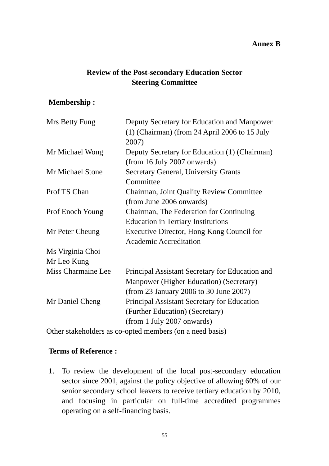#### **Annex B**

## **Review of the Post-secondary Education Sector Steering Committee**

### **Membership :**

| Deputy Secretary for Education and Manpower        |  |  |
|----------------------------------------------------|--|--|
| $(1)$ (Chairman) (from 24 April 2006 to 15 July    |  |  |
| 2007)                                              |  |  |
| Deputy Secretary for Education (1) (Chairman)      |  |  |
| (from 16 July 2007 onwards)                        |  |  |
| <b>Secretary General, University Grants</b>        |  |  |
| Committee                                          |  |  |
| <b>Chairman, Joint Quality Review Committee</b>    |  |  |
| (from June 2006 onwards)                           |  |  |
| Chairman, The Federation for Continuing            |  |  |
| <b>Education in Tertiary Institutions</b>          |  |  |
| Executive Director, Hong Kong Council for          |  |  |
| <b>Academic Accreditation</b>                      |  |  |
|                                                    |  |  |
|                                                    |  |  |
| Principal Assistant Secretary for Education and    |  |  |
| Manpower (Higher Education) (Secretary)            |  |  |
| (from 23 January 2006 to 30 June 2007)             |  |  |
| <b>Principal Assistant Secretary for Education</b> |  |  |
| (Further Education) (Secretary)                    |  |  |
| (from 1 July 2007 onwards)                         |  |  |
|                                                    |  |  |

Other stakeholders as co-opted members (on a need basis)

#### **Terms of Reference :**

1. To review the development of the local post-secondary education sector since 2001, against the policy objective of allowing 60% of our senior secondary school leavers to receive tertiary education by 2010, and focusing in particular on full-time accredited programmes operating on a self-financing basis.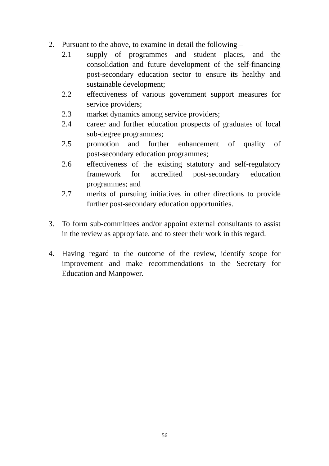- 2. Pursuant to the above, to examine in detail the following
	- 2.1 supply of programmes and student places, and the consolidation and future development of the self-financing post-secondary education sector to ensure its healthy and sustainable development;
	- 2.2 effectiveness of various government support measures for service providers:
	- 2.3 market dynamics among service providers;
	- 2.4 career and further education prospects of graduates of local sub-degree programmes;
	- 2.5 promotion and further enhancement of quality of post-secondary education programmes;
	- 2.6 effectiveness of the existing statutory and self-regulatory framework for accredited post-secondary education programmes; and
	- 2.7 merits of pursuing initiatives in other directions to provide further post-secondary education opportunities.
- 3. To form sub-committees and/or appoint external consultants to assist in the review as appropriate, and to steer their work in this regard.
- 4. Having regard to the outcome of the review, identify scope for improvement and make recommendations to the Secretary for Education and Manpower.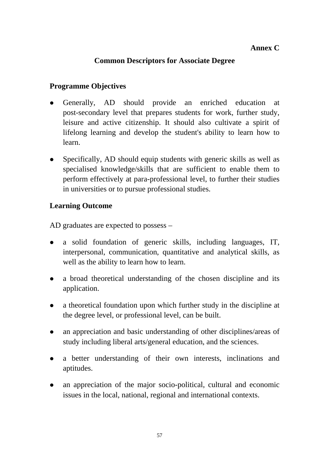### **Common Descriptors for Associate Degree**

### **Programme Objectives**

- Generally, AD should provide an enriched education at post-secondary level that prepares students for work, further study, leisure and active citizenship. It should also cultivate a spirit of lifelong learning and develop the student's ability to learn how to learn.
- Specifically, AD should equip students with generic skills as well as specialised knowledge/skills that are sufficient to enable them to perform effectively at para-professional level, to further their studies in universities or to pursue professional studies.

### **Learning Outcome**

AD graduates are expected to possess –

- a solid foundation of generic skills, including languages, IT, interpersonal, communication, quantitative and analytical skills, as well as the ability to learn how to learn.
- a broad theoretical understanding of the chosen discipline and its application.
- a theoretical foundation upon which further study in the discipline at the degree level, or professional level, can be built.
- an appreciation and basic understanding of other disciplines/areas of study including liberal arts/general education, and the sciences.
- a better understanding of their own interests, inclinations and aptitudes.
- an appreciation of the major socio-political, cultural and economic issues in the local, national, regional and international contexts.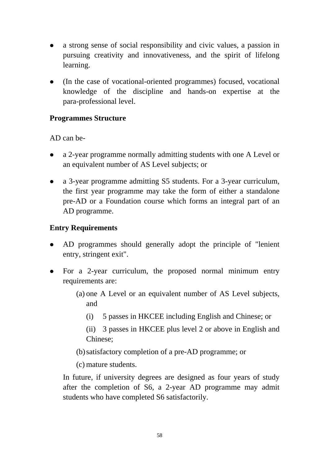- a strong sense of social responsibility and civic values, a passion in pursuing creativity and innovativeness, and the spirit of lifelong learning.
- (In the case of vocational-oriented programmes) focused, vocational knowledge of the discipline and hands-on expertise at the para-professional level.

### **Programmes Structure**

AD can be-

- a 2-year programme normally admitting students with one A Level or an equivalent number of AS Level subjects; or
- a 3-year programme admitting S5 students. For a 3-year curriculum, the first year programme may take the form of either a standalone pre-AD or a Foundation course which forms an integral part of an AD programme.

### **Entry Requirements**

- AD programmes should generally adopt the principle of "lenient" entry, stringent exit".
- For a 2-year curriculum, the proposed normal minimum entry requirements are:
	- (a) one A Level or an equivalent number of AS Level subjects, and
		- (i) 5 passes in HKCEE including English and Chinese; or

(ii) 3 passes in HKCEE plus level 2 or above in English and Chinese;

(b)satisfactory completion of a pre-AD programme; or

(c) mature students.

In future, if university degrees are designed as four years of study after the completion of S6, a 2-year AD programme may admit students who have completed S6 satisfactorily.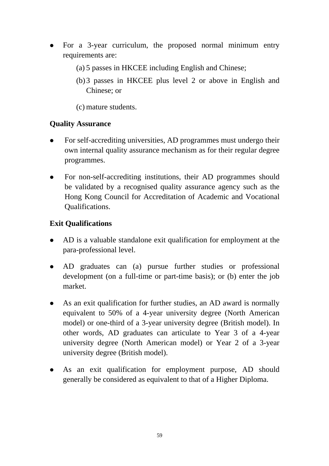- For a 3-year curriculum, the proposed normal minimum entry requirements are:
	- (a) 5 passes in HKCEE including English and Chinese;
	- (b)3 passes in HKCEE plus level 2 or above in English and Chinese; or
	- (c) mature students.

### **Quality Assurance**

- For self-accrediting universities, AD programmes must undergo their own internal quality assurance mechanism as for their regular degree programmes.
- For non-self-accrediting institutions, their AD programmes should be validated by a recognised quality assurance agency such as the Hong Kong Council for Accreditation of Academic and Vocational Qualifications.

### **Exit Qualifications**

- AD is a valuable standalone exit qualification for employment at the para-professional level.
- AD graduates can (a) pursue further studies or professional development (on a full-time or part-time basis); or (b) enter the job market.
- As an exit qualification for further studies, an AD award is normally equivalent to 50% of a 4-year university degree (North American model) or one-third of a 3-year university degree (British model). In other words, AD graduates can articulate to Year 3 of a 4-year university degree (North American model) or Year 2 of a 3-year university degree (British model).
- As an exit qualification for employment purpose, AD should generally be considered as equivalent to that of a Higher Diploma.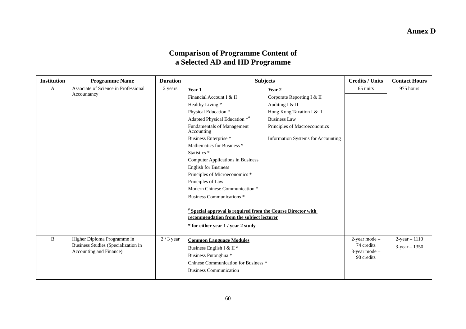### **Annex D**

#### **Comparison of Programme Content of a Selected AD and HD Programme**

| <b>Institution</b> | <b>Programme Name</b>                                                                         | <b>Duration</b> | <b>Subjects</b>                                                                                                                                     |                                           | <b>Credits / Units</b>      | <b>Contact Hours</b> |
|--------------------|-----------------------------------------------------------------------------------------------|-----------------|-----------------------------------------------------------------------------------------------------------------------------------------------------|-------------------------------------------|-----------------------------|----------------------|
| A                  | Associate of Science in Professional                                                          | 2 years         | Year 1                                                                                                                                              | Year 2                                    | 65 units                    | 975 hours            |
|                    | Accountancy                                                                                   |                 | Financial Account I & II                                                                                                                            | Corporate Reporting I & II                |                             |                      |
|                    |                                                                                               |                 | Healthy Living *                                                                                                                                    | Auditing I & II                           |                             |                      |
|                    |                                                                                               |                 | Physical Education *                                                                                                                                | Hong Kong Taxation I & II                 |                             |                      |
|                    |                                                                                               |                 | Adapted Physical Education **                                                                                                                       | <b>Business Law</b>                       |                             |                      |
|                    |                                                                                               |                 | Fundamentals of Management<br>Accounting                                                                                                            | Principles of Macroeconomics              |                             |                      |
|                    |                                                                                               |                 | Business Enterprise *                                                                                                                               | <b>Information Systems for Accounting</b> |                             |                      |
|                    |                                                                                               |                 | Mathematics for Business <sup>*</sup>                                                                                                               |                                           |                             |                      |
|                    |                                                                                               |                 | Statistics <sup>*</sup>                                                                                                                             |                                           |                             |                      |
|                    |                                                                                               |                 | <b>Computer Applications in Business</b>                                                                                                            |                                           |                             |                      |
|                    |                                                                                               |                 | <b>English for Business</b>                                                                                                                         |                                           |                             |                      |
|                    |                                                                                               |                 | Principles of Microeconomics <sup>*</sup>                                                                                                           |                                           |                             |                      |
|                    |                                                                                               |                 | Principles of Law                                                                                                                                   |                                           |                             |                      |
|                    |                                                                                               |                 | Modern Chinese Communication *                                                                                                                      |                                           |                             |                      |
|                    |                                                                                               |                 | <b>Business Communications *</b>                                                                                                                    |                                           |                             |                      |
|                    |                                                                                               |                 | <b>Special approval is required from the Course Director with</b><br>recommendation from the subject lecturer<br>* for either year 1 / year 2 study |                                           |                             |                      |
| B                  | Higher Diploma Programme in<br>Business Studies (Specialization in<br>Accounting and Finance) | $2/3$ year      | <b>Common Language Modules</b>                                                                                                                      |                                           | 2-year mode -               | $2$ -year $-1110$    |
|                    |                                                                                               |                 | Business English I & II <sup>*</sup>                                                                                                                |                                           | 74 credits<br>3-year mode - | $3$ -year $-1350$    |
|                    |                                                                                               |                 | Business Putonghua *                                                                                                                                |                                           | 90 credits                  |                      |
|                    |                                                                                               |                 | Chinese Communication for Business *                                                                                                                |                                           |                             |                      |
|                    |                                                                                               |                 | <b>Business Communication</b>                                                                                                                       |                                           |                             |                      |
|                    |                                                                                               |                 |                                                                                                                                                     |                                           |                             |                      |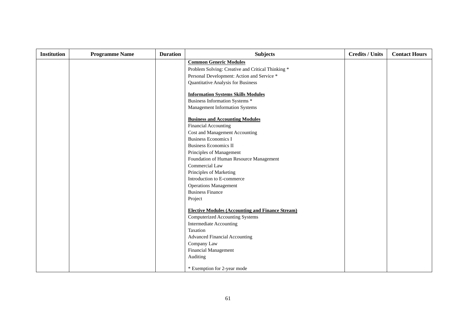| <b>Institution</b> | <b>Programme Name</b> | <b>Duration</b> | <b>Subjects</b>                                         | <b>Credits / Units</b> | <b>Contact Hours</b> |
|--------------------|-----------------------|-----------------|---------------------------------------------------------|------------------------|----------------------|
|                    |                       |                 | <b>Common Generic Modules</b>                           |                        |                      |
|                    |                       |                 | Problem Solving: Creative and Critical Thinking *       |                        |                      |
|                    |                       |                 | Personal Development: Action and Service *              |                        |                      |
|                    |                       |                 | Quantitative Analysis for Business                      |                        |                      |
|                    |                       |                 | <b>Information Systems Skills Modules</b>               |                        |                      |
|                    |                       |                 | Business Information Systems *                          |                        |                      |
|                    |                       |                 | Management Information Systems                          |                        |                      |
|                    |                       |                 | <b>Business and Accounting Modules</b>                  |                        |                      |
|                    |                       |                 | <b>Financial Accounting</b>                             |                        |                      |
|                    |                       |                 | Cost and Management Accounting                          |                        |                      |
|                    |                       |                 | <b>Business Economics I</b>                             |                        |                      |
|                    |                       |                 | <b>Business Economics II</b>                            |                        |                      |
|                    |                       |                 | Principles of Management                                |                        |                      |
|                    |                       |                 | Foundation of Human Resource Management                 |                        |                      |
|                    |                       |                 | Commercial Law                                          |                        |                      |
|                    |                       |                 | Principles of Marketing                                 |                        |                      |
|                    |                       |                 | Introduction to E-commerce                              |                        |                      |
|                    |                       |                 | <b>Operations Management</b>                            |                        |                      |
|                    |                       |                 | <b>Business Finance</b>                                 |                        |                      |
|                    |                       |                 | Project                                                 |                        |                      |
|                    |                       |                 | <b>Elective Modules (Accounting and Finance Stream)</b> |                        |                      |
|                    |                       |                 | <b>Computerized Accounting Systems</b>                  |                        |                      |
|                    |                       |                 | <b>Intermediate Accounting</b>                          |                        |                      |
|                    |                       |                 | Taxation                                                |                        |                      |
|                    |                       |                 | <b>Advanced Financial Accounting</b>                    |                        |                      |
|                    |                       |                 | Company Law                                             |                        |                      |
|                    |                       |                 | Financial Management                                    |                        |                      |
|                    |                       |                 | Auditing                                                |                        |                      |
|                    |                       |                 | * Exemption for 2-year mode                             |                        |                      |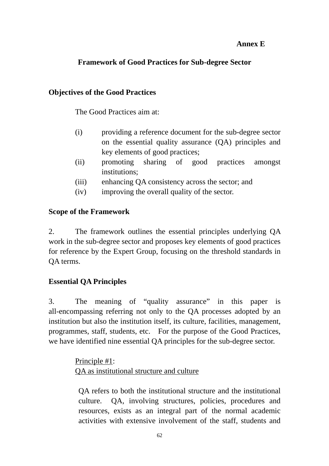### **Annex E**

## **Framework of Good Practices for Sub-degree Sector**

### **Objectives of the Good Practices**

The Good Practices aim at:

- (i) providing a reference document for the sub-degree sector on the essential quality assurance (QA) principles and key elements of good practices;
- (ii) promoting sharing of good practices amongst institutions;
- (iii) enhancing QA consistency across the sector; and
- (iv) improving the overall quality of the sector.

### **Scope of the Framework**

2. The framework outlines the essential principles underlying QA work in the sub-degree sector and proposes key elements of good practices for reference by the Expert Group, focusing on the threshold standards in QA terms.

# **Essential QA Principles**

3. The meaning of "quality assurance" in this paper is all-encompassing referring not only to the QA processes adopted by an institution but also the institution itself, its culture, facilities, management, programmes, staff, students, etc. For the purpose of the Good Practices, we have identified nine essential QA principles for the sub-degree sector.

> Principle #1: QA as institutional structure and culture

QA refers to both the institutional structure and the institutional culture. QA, involving structures, policies, procedures and resources, exists as an integral part of the normal academic activities with extensive involvement of the staff, students and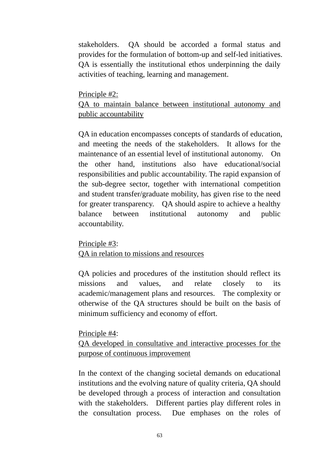stakeholders. QA should be accorded a formal status and provides for the formulation of bottom-up and self-led initiatives. QA is essentially the institutional ethos underpinning the daily activities of teaching, learning and management.

Principle #2:

## QA to maintain balance between institutional autonomy and public accountability

QA in education encompasses concepts of standards of education, and meeting the needs of the stakeholders. It allows for the maintenance of an essential level of institutional autonomy. On the other hand, institutions also have educational/social responsibilities and public accountability. The rapid expansion of the sub-degree sector, together with international competition and student transfer/graduate mobility, has given rise to the need for greater transparency. QA should aspire to achieve a healthy balance between institutional autonomy and public accountability.

Principle #3:

QA in relation to missions and resources

QA policies and procedures of the institution should reflect its missions and values, and relate closely to its academic/management plans and resources. The complexity or otherwise of the QA structures should be built on the basis of minimum sufficiency and economy of effort.

Principle #4:

QA developed in consultative and interactive processes for the purpose of continuous improvement

In the context of the changing societal demands on educational institutions and the evolving nature of quality criteria, QA should be developed through a process of interaction and consultation with the stakeholders. Different parties play different roles in the consultation process. Due emphases on the roles of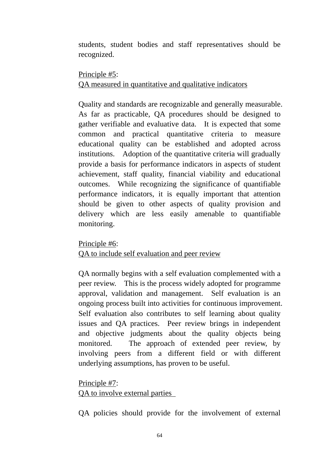students, student bodies and staff representatives should be recognized.

# Principle #5: QA measured in quantitative and qualitative indicators

Quality and standards are recognizable and generally measurable. As far as practicable, QA procedures should be designed to gather verifiable and evaluative data. It is expected that some common and practical quantitative criteria to measure educational quality can be established and adopted across institutions. Adoption of the quantitative criteria will gradually provide a basis for performance indicators in aspects of student achievement, staff quality, financial viability and educational outcomes. While recognizing the significance of quantifiable performance indicators, it is equally important that attention should be given to other aspects of quality provision and delivery which are less easily amenable to quantifiable monitoring.

Principle #6:

QA to include self evaluation and peer review

QA normally begins with a self evaluation complemented with a peer review. This is the process widely adopted for programme approval, validation and management. Self evaluation is an ongoing process built into activities for continuous improvement. Self evaluation also contributes to self learning about quality issues and QA practices. Peer review brings in independent and objective judgments about the quality objects being monitored. The approach of extended peer review, by involving peers from a different field or with different underlying assumptions, has proven to be useful.

Principle #7: QA to involve external parties

QA policies should provide for the involvement of external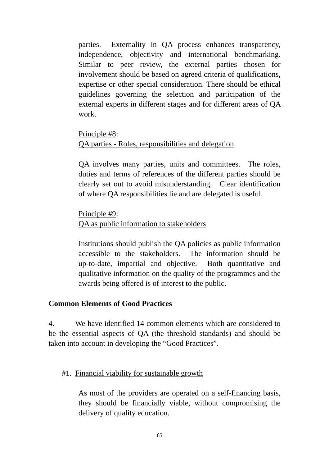parties. Externality in QA process enhances transparency, independence, objectivity and international benchmarking. Similar to peer review, the external parties chosen for involvement should be based on agreed criteria of qualifications, expertise or other special consideration. There should be ethical guidelines governing the selection and participation of the external experts in different stages and for different areas of QA work.

## Principle #8: QA parties - Roles, responsibilities and delegation

QA involves many parties, units and committees. The roles, duties and terms of references of the different parties should be clearly set out to avoid misunderstanding. Clear identification of where QA responsibilities lie and are delegated is useful.

Principle #9: QA as public information to stakeholders

Institutions should publish the QA policies as public information accessible to the stakeholders. The information should be up-to-date, impartial and objective. Both quantitative and qualitative information on the quality of the programmes and the awards being offered is of interest to the public.

### **Common Elements of Good Practices**

4. We have identified 14 common elements which are considered to be the essential aspects of QA (the threshold standards) and should be taken into account in developing the "Good Practices".

### #1. Financial viability for sustainable growth

As most of the providers are operated on a self-financing basis, they should be financially viable, without compromising the delivery of quality education.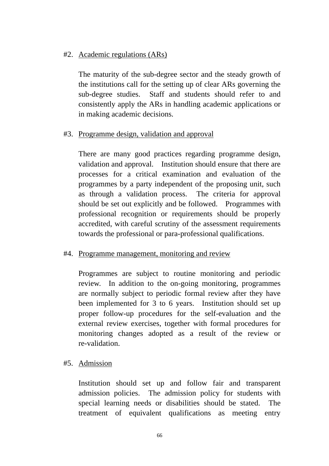### #2. Academic regulations (ARs)

The maturity of the sub-degree sector and the steady growth of the institutions call for the setting up of clear ARs governing the sub-degree studies. Staff and students should refer to and consistently apply the ARs in handling academic applications or in making academic decisions.

#### #3. Programme design, validation and approval

There are many good practices regarding programme design, validation and approval. Institution should ensure that there are processes for a critical examination and evaluation of the programmes by a party independent of the proposing unit, such as through a validation process. The criteria for approval should be set out explicitly and be followed. Programmes with professional recognition or requirements should be properly accredited, with careful scrutiny of the assessment requirements towards the professional or para-professional qualifications.

#### #4. Programme management, monitoring and review

Programmes are subject to routine monitoring and periodic review. In addition to the on-going monitoring, programmes are normally subject to periodic formal review after they have been implemented for 3 to 6 years. Institution should set up proper follow-up procedures for the self-evaluation and the external review exercises, together with formal procedures for monitoring changes adopted as a result of the review or re-validation.

#### #5. Admission

Institution should set up and follow fair and transparent admission policies. The admission policy for students with special learning needs or disabilities should be stated. The treatment of equivalent qualifications as meeting entry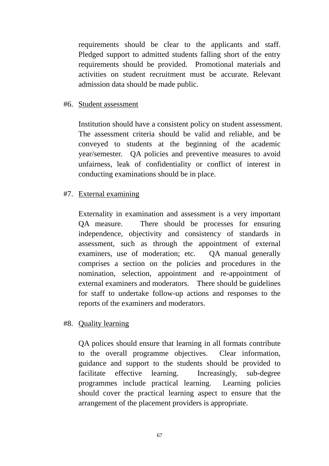requirements should be clear to the applicants and staff. Pledged support to admitted students falling short of the entry requirements should be provided. Promotional materials and activities on student recruitment must be accurate. Relevant admission data should be made public.

#### #6. Student assessment

Institution should have a consistent policy on student assessment. The assessment criteria should be valid and reliable, and be conveyed to students at the beginning of the academic year/semester. QA policies and preventive measures to avoid unfairness, leak of confidentiality or conflict of interest in conducting examinations should be in place.

#### #7. External examining

Externality in examination and assessment is a very important QA measure. There should be processes for ensuring independence, objectivity and consistency of standards in assessment, such as through the appointment of external examiners, use of moderation; etc. OA manual generally comprises a section on the policies and procedures in the nomination, selection, appointment and re-appointment of external examiners and moderators. There should be guidelines for staff to undertake follow-up actions and responses to the reports of the examiners and moderators.

#### #8. Quality learning

QA polices should ensure that learning in all formats contribute to the overall programme objectives. Clear information, guidance and support to the students should be provided to facilitate effective learning. Increasingly, sub-degree programmes include practical learning. Learning policies should cover the practical learning aspect to ensure that the arrangement of the placement providers is appropriate.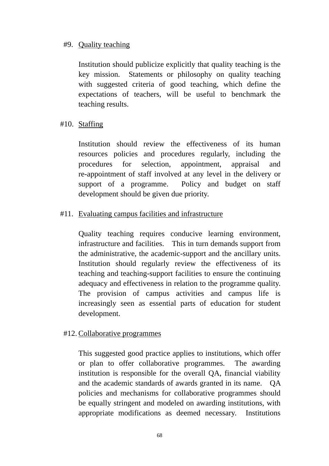#### #9. Quality teaching

Institution should publicize explicitly that quality teaching is the key mission. Statements or philosophy on quality teaching with suggested criteria of good teaching, which define the expectations of teachers, will be useful to benchmark the teaching results.

### #10. Staffing

Institution should review the effectiveness of its human resources policies and procedures regularly, including the procedures for selection, appointment, appraisal and re-appointment of staff involved at any level in the delivery or support of a programme. Policy and budget on staff development should be given due priority.

### #11. Evaluating campus facilities and infrastructure

Quality teaching requires conducive learning environment, infrastructure and facilities. This in turn demands support from the administrative, the academic-support and the ancillary units. Institution should regularly review the effectiveness of its teaching and teaching-support facilities to ensure the continuing adequacy and effectiveness in relation to the programme quality. The provision of campus activities and campus life is increasingly seen as essential parts of education for student development.

### #12. Collaborative programmes

This suggested good practice applies to institutions, which offer or plan to offer collaborative programmes. The awarding institution is responsible for the overall QA, financial viability and the academic standards of awards granted in its name. QA policies and mechanisms for collaborative programmes should be equally stringent and modeled on awarding institutions, with appropriate modifications as deemed necessary. Institutions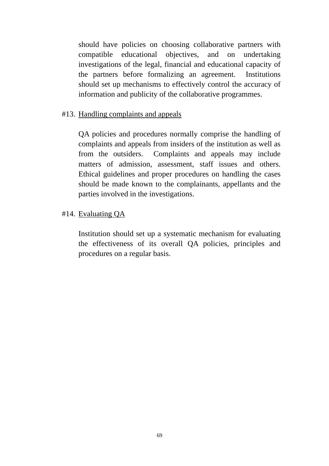should have policies on choosing collaborative partners with compatible educational objectives, and on undertaking investigations of the legal, financial and educational capacity of the partners before formalizing an agreement. Institutions should set up mechanisms to effectively control the accuracy of information and publicity of the collaborative programmes.

#### #13. Handling complaints and appeals

QA policies and procedures normally comprise the handling of complaints and appeals from insiders of the institution as well as from the outsiders. Complaints and appeals may include matters of admission, assessment, staff issues and others. Ethical guidelines and proper procedures on handling the cases should be made known to the complainants, appellants and the parties involved in the investigations.

### #14. Evaluating QA

Institution should set up a systematic mechanism for evaluating the effectiveness of its overall QA policies, principles and procedures on a regular basis.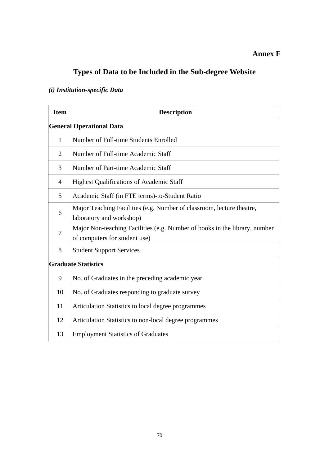### **Annex F**

# **Types of Data to be Included in the Sub-degree Website**

# *(i) Institution-specific Data*

| <b>Item</b>    | <b>Description</b>                                                                                          |
|----------------|-------------------------------------------------------------------------------------------------------------|
|                | <b>General Operational Data</b>                                                                             |
| 1              | Number of Full-time Students Enrolled                                                                       |
| $\overline{2}$ | Number of Full-time Academic Staff                                                                          |
| 3              | Number of Part-time Academic Staff                                                                          |
| $\overline{4}$ | <b>Highest Qualifications of Academic Staff</b>                                                             |
| 5              | Academic Staff (in FTE terms)-to-Student Ratio                                                              |
| 6              | Major Teaching Facilities (e.g. Number of classroom, lecture theatre,<br>laboratory and workshop)           |
| 7              | Major Non-teaching Facilities (e.g. Number of books in the library, number<br>of computers for student use) |
| 8              | <b>Student Support Services</b>                                                                             |
|                | <b>Graduate Statistics</b>                                                                                  |
| 9              | No. of Graduates in the preceding academic year                                                             |
| 10             | No. of Graduates responding to graduate survey                                                              |
| 11             | Articulation Statistics to local degree programmes                                                          |
| 12             | Articulation Statistics to non-local degree programmes                                                      |
| 13             | <b>Employment Statistics of Graduates</b>                                                                   |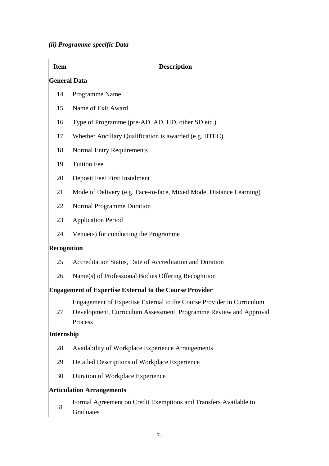### *(ii) Programme-specific Data*

| <b>Item</b>         | <b>Description</b>                                                                                                                                    |
|---------------------|-------------------------------------------------------------------------------------------------------------------------------------------------------|
| <b>General Data</b> |                                                                                                                                                       |
| 14                  | Programme Name                                                                                                                                        |
| 15                  | Name of Exit Award                                                                                                                                    |
| 16                  | Type of Programme (pre-AD, AD, HD, other SD etc.)                                                                                                     |
| 17                  | Whether Ancillary Qualification is awarded (e.g. BTEC)                                                                                                |
| 18                  | <b>Normal Entry Requirements</b>                                                                                                                      |
| 19                  | <b>Tuition Fee</b>                                                                                                                                    |
| 20                  | Deposit Fee/ First Instalment                                                                                                                         |
| 21                  | Mode of Delivery (e.g. Face-to-face, Mixed Mode, Distance Learning)                                                                                   |
| 22                  | <b>Normal Programme Duration</b>                                                                                                                      |
| 23                  | <b>Application Period</b>                                                                                                                             |
| 24                  | Venue(s) for conducting the Programme                                                                                                                 |
| <b>Recognition</b>  |                                                                                                                                                       |
| 25                  | Accreditation Status, Date of Accreditation and Duration                                                                                              |
| 26                  | Name(s) of Professional Bodies Offering Recognition                                                                                                   |
|                     | <b>Engagement of Expertise External to the Course Provider</b>                                                                                        |
| 27                  | Engagement of Expertise External to the Course Provider in Curriculum<br>Development, Curriculum Assessment, Programme Review and Approval<br>Process |
| Internship          |                                                                                                                                                       |
| 28                  | Availability of Workplace Experience Arrangements                                                                                                     |
| 29                  | Detailed Descriptions of Workplace Experience                                                                                                         |
| 30                  | Duration of Workplace Experience                                                                                                                      |
|                     | <b>Articulation Arrangements</b>                                                                                                                      |
| 31                  | Formal Agreement on Credit Exemptions and Transfers Available to<br>Graduates                                                                         |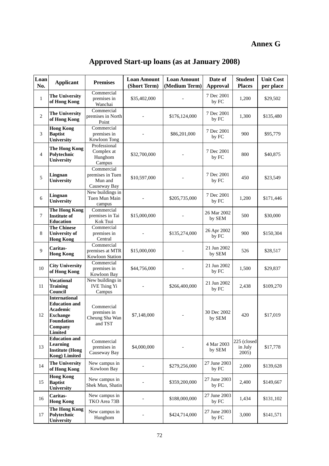# **Annex G**

| Loan<br>No.     | <b>Applicant</b>                                                                                                       | <b>Premises</b>                                           | <b>Loan Amount</b><br>(Short Term) | <b>Loan Amount</b><br>(Medium Term) | Date of<br><b>Approval</b> | <b>Student</b><br><b>Places</b> | <b>Unit Cost</b><br>per place |
|-----------------|------------------------------------------------------------------------------------------------------------------------|-----------------------------------------------------------|------------------------------------|-------------------------------------|----------------------------|---------------------------------|-------------------------------|
| $\,1$           | <b>The University</b><br>of Hong Kong                                                                                  | Commercial<br>premises in<br>Wanchai                      | \$35,402,000                       |                                     | 7 Dec 2001<br>by FC        | 1,200                           | \$29,502                      |
| $\overline{2}$  | <b>The University</b><br>of Hong Kong                                                                                  | Commercial<br>premises in North<br>Point                  |                                    | \$176,124,000                       | 7 Dec 2001<br>by FC        | 1,300                           | \$135,480                     |
| 3               | <b>Hong Kong</b><br><b>Baptist</b><br><b>University</b>                                                                | Commercial<br>premises in<br>Kowloon Tong                 |                                    | \$86,201,000                        | 7 Dec 2001<br>by FC        | 900                             | \$95,779                      |
| $\overline{4}$  | The Hong Kong<br>Polytechnic<br><b>University</b>                                                                      | Professional<br>Complex at<br>Hunghom<br>Campus           | \$32,700,000                       |                                     | 7 Dec 2001<br>by FC        | 800                             | \$40,875                      |
| 5               | Lingnan<br>University                                                                                                  | Commercial<br>premises in Tuen<br>Mun and<br>Causeway Bay | \$10,597,000                       |                                     | 7 Dec 2001<br>by FC        | 450                             | \$23,549                      |
| 6               | Lingnan<br>University                                                                                                  | New buildings in<br>Tuen Mun Main<br>campus               |                                    | \$205,735,000                       | 7 Dec 2001<br>by FC        | 1,200                           | \$171,446                     |
| $7\phantom{.0}$ | The Hong Kong<br><b>Institute of</b><br><b>Education</b>                                                               | Commercial<br>premises in Tai<br>Kok Tsui                 | \$15,000,000                       |                                     | 26 Mar 2002<br>by SEM      | 500                             | \$30,000                      |
| $\,8\,$         | <b>The Chinese</b><br><b>University of</b><br><b>Hong Kong</b>                                                         | Commercial<br>premises in<br>Central                      |                                    | \$135,274,000                       | 26 Apr 2002<br>by FC       | 900                             | \$150,304                     |
| 9               | Caritas-<br><b>Hong Kong</b>                                                                                           | Commercial<br>premises at MTR<br><b>Kowloon Station</b>   | \$15,000,000                       |                                     | 21 Jun 2002<br>by SEM      | 526                             | \$28,517                      |
| 10              | <b>City University</b><br>of Hong Kong                                                                                 | Commercial<br>premises in<br>Kowloon Bay                  | \$44,756,000                       |                                     | 21 Jun 2002<br>by FC       | 1,500                           | \$29,837                      |
| 11              | <b>Vocational</b><br><b>Training</b><br>Council                                                                        | New buildings in<br><b>IVE Tsing Yi</b><br>Campus         |                                    | \$266,400,000                       | 21 Jun 2002<br>by FC       | 2,438                           | \$109,270                     |
| 12              | <b>International</b><br><b>Education and</b><br>Academic<br><b>Exchange</b><br>Foundation<br>Company<br><b>Limited</b> | Commercial<br>premises in<br>Cheung Sha Wan<br>and TST    | \$7,148,000                        |                                     | 30 Dec 2002<br>by SEM      | 420                             | \$17,019                      |
| 13              | <b>Education and</b><br><b>Learning</b><br><b>Institute (Hong</b><br><b>Kong)</b> Limited                              | Commercial<br>premises in<br>Causeway Bay                 | \$4,000,000                        |                                     | 4 Mar 2003<br>by SEM       | 225 (closed<br>in July<br>2005) | \$17,778                      |
| 14              | The University<br>of Hong Kong                                                                                         | New campus in<br>Kowloon Bay                              |                                    | \$279,256,000                       | 27 June 2003<br>by FC      | 2,000                           | \$139,628                     |
| 15              | <b>Hong Kong</b><br><b>Baptist</b><br>University                                                                       | New campus in<br>Shek Mun, Shatin                         |                                    | \$359,200,000                       | 27 June 2003<br>by FC      | 2,400                           | \$149,667                     |
| 16              | Caritas-<br><b>Hong Kong</b>                                                                                           | New campus in<br>TKO Area 73B                             |                                    | \$188,000,000                       | 27 June 2003<br>by FC      | 1,434                           | \$131,102                     |
| 17              | <b>The Hong Kong</b><br>Polytechnic<br><b>University</b>                                                               | New campus in<br>Hunghom                                  |                                    |                                     | 27 June 2003<br>by FC      | 3,000                           | \$141,571                     |

# **Approved Start-up loans (as at January 2008)**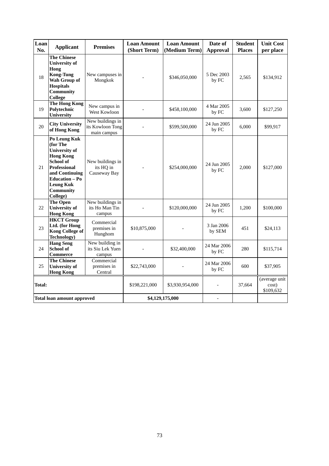| Loan<br>No. | <b>Applicant</b>                                                                                                                                                                                        | <b>Premises</b>                                     | <b>Loan Amount</b><br>(Short Term) | <b>Loan Amount</b><br>(Medium Term) | Date of<br><b>Approval</b> | <b>Student</b><br><b>Places</b> | <b>Unit Cost</b><br>per place       |
|-------------|---------------------------------------------------------------------------------------------------------------------------------------------------------------------------------------------------------|-----------------------------------------------------|------------------------------------|-------------------------------------|----------------------------|---------------------------------|-------------------------------------|
| 18          | <b>The Chinese</b><br><b>University of</b><br>Hong<br><b>Kong-Tung</b><br>Wah Group of<br><b>Hospitals</b><br>Community<br>College                                                                      | New campuses in<br>Mongkok                          |                                    | \$346,050,000                       | 5 Dec 2003<br>by FC        | 2,565                           | \$134,912                           |
| 19          | <b>The Hong Kong</b><br>Polytechnic<br>University                                                                                                                                                       | New campus in<br>West Kowloon                       |                                    | \$458,100,000                       | 4 Mar 2005<br>by FC        | 3,600                           | \$127,250                           |
| 20          | <b>City University</b><br>of Hong Kong                                                                                                                                                                  | New buildings in<br>its Kowloon Tong<br>main campus |                                    | \$599,500,000                       | 24 Jun 2005<br>by FC       | 6,000                           | \$99,917                            |
| 21          | Po Leung Kuk<br>(for The<br><b>University of</b><br><b>Hong Kong</b><br><b>School of</b><br><b>Professional</b><br>and Continuing<br><b>Education - Po</b><br><b>Leung Kuk</b><br>Community<br>College) | New buildings in<br>its HQ in<br>Causeway Bay       |                                    |                                     | 24 Jun 2005<br>by FC       | 2,000                           | \$127,000                           |
| 22          | <b>The Open</b><br><b>University of</b><br><b>Hong Kong</b>                                                                                                                                             | New buildings in<br>its Ho Man Tin<br>campus        |                                    | \$120,000,000                       | 24 Jun 2005<br>by FC       | 1,200                           | \$100,000                           |
| 23          | <b>HKCT</b> Group<br>Ltd. (for Hong<br><b>Kong College of</b><br>Technology)                                                                                                                            | Commercial<br>premises in<br>Hunghom                | \$10,875,000                       |                                     | 3 Jan 2006<br>by SEM       | 451                             | \$24,113                            |
| 24          | <b>Hang Seng</b><br><b>School of</b><br><b>Commerce</b>                                                                                                                                                 | New building in<br>its Siu Lek Yuen<br>campus       |                                    | \$32,400,000                        | 24 Mar 2006<br>by FC       | 280                             | \$115,714                           |
| 25          | <b>The Chinese</b><br><b>University of</b><br><b>Hong Kong</b>                                                                                                                                          | Commercial<br>premises in<br>Central                | \$22,743,000                       |                                     | 24 Mar 2006<br>by FC       | 600                             | \$37,905                            |
| Total:      |                                                                                                                                                                                                         |                                                     | \$198,221,000                      | \$3,930,954,000                     |                            | 37,664                          | (average unit<br>cost)<br>\$109,632 |
|             | Total loan amount approved                                                                                                                                                                              |                                                     |                                    | \$4,129,175,000                     |                            |                                 |                                     |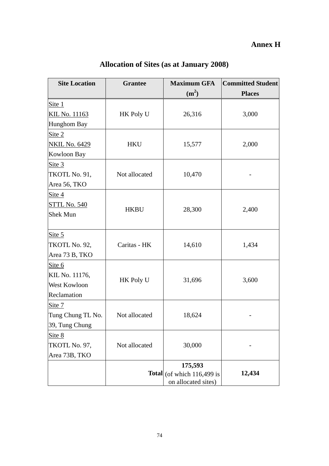## **Annex H**

| <b>Site Location</b> | <b>Grantee</b> | <b>Maximum GFA</b>                  | <b>Committed Student</b> |  |  |  |
|----------------------|----------------|-------------------------------------|--------------------------|--|--|--|
|                      |                | (m <sup>2</sup> )                   | <b>Places</b>            |  |  |  |
| Site $1$             |                |                                     |                          |  |  |  |
| <u>KIL No. 11163</u> | HK Poly U      | 26,316                              | 3,000                    |  |  |  |
| Hunghom Bay          |                |                                     |                          |  |  |  |
| Site $2$             |                |                                     |                          |  |  |  |
| <b>NKIL No. 6429</b> | <b>HKU</b>     | 15,577                              | 2,000                    |  |  |  |
| Kowloon Bay          |                |                                     |                          |  |  |  |
| Site $3$             |                |                                     |                          |  |  |  |
| TKOTL No. 91,        | Not allocated  | 10,470                              |                          |  |  |  |
| Area 56, TKO         |                |                                     |                          |  |  |  |
| Site $4$             |                |                                     |                          |  |  |  |
| STTL No. 540         |                |                                     |                          |  |  |  |
| <b>Shek Mun</b>      | <b>HKBU</b>    | 28,300                              | 2,400                    |  |  |  |
|                      |                |                                     |                          |  |  |  |
| Site 5               |                |                                     |                          |  |  |  |
| TKOTL No. 92,        | Caritas - HK   | 14,610                              | 1,434                    |  |  |  |
| Area 73 B, TKO       |                |                                     |                          |  |  |  |
| Site $6$             |                |                                     |                          |  |  |  |
| KIL No. 11176,       | HK Poly U      | 31,696                              | 3,600                    |  |  |  |
| West Kowloon         |                |                                     |                          |  |  |  |
| Reclamation          |                |                                     |                          |  |  |  |
| Site 7               |                |                                     |                          |  |  |  |
| Tung Chung TL No.    | Not allocated  | 18,624                              |                          |  |  |  |
| 39, Tung Chung       |                |                                     |                          |  |  |  |
| Site 8               |                |                                     |                          |  |  |  |
| TKOTL No. 97,        | Not allocated  | 30,000                              |                          |  |  |  |
| Area 73B, TKO        |                |                                     |                          |  |  |  |
|                      |                | 175,593                             |                          |  |  |  |
|                      |                | <b>Total</b> (of which $116,499$ is | 12,434                   |  |  |  |
|                      |                | on allocated sites)                 |                          |  |  |  |

# **Allocation of Sites (as at January 2008)**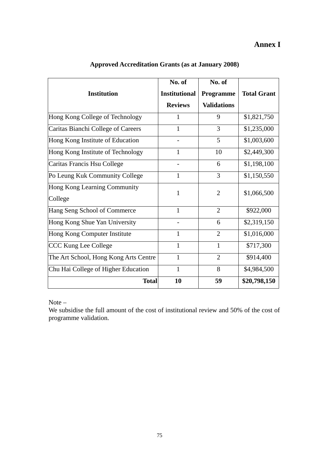### **Annex I**

|                                       | No. of               | No. of             |                    |
|---------------------------------------|----------------------|--------------------|--------------------|
| <b>Institution</b>                    | <b>Institutional</b> | Programme          | <b>Total Grant</b> |
|                                       | <b>Reviews</b>       | <b>Validations</b> |                    |
| Hong Kong College of Technology       | 1                    | 9                  | \$1,821,750        |
| Caritas Bianchi College of Careers    | 1                    | 3                  | \$1,235,000        |
| Hong Kong Institute of Education      |                      | 5                  | \$1,003,600        |
| Hong Kong Institute of Technology     | $\mathbf{1}$         | 10                 | \$2,449,300        |
| Caritas Francis Hsu College           |                      | 6                  | \$1,198,100        |
| Po Leung Kuk Community College        | 1                    | 3                  | \$1,150,550        |
| Hong Kong Learning Community          | 1                    | $\overline{2}$     | \$1,066,500        |
| College                               |                      |                    |                    |
| Hang Seng School of Commerce          | $\mathbf{1}$         | $\overline{2}$     | \$922,000          |
| Hong Kong Shue Yan University         |                      | 6                  | \$2,319,150        |
| Hong Kong Computer Institute          | 1                    | $\overline{2}$     | \$1,016,000        |
| <b>CCC Kung Lee College</b>           | 1                    | 1                  | \$717,300          |
| The Art School, Hong Kong Arts Centre | 1                    | $\overline{2}$     | \$914,400          |
| Chu Hai College of Higher Education   | $\mathbf{1}$         | 8                  | \$4,984,500        |
| <b>Total</b>                          | 10                   | 59                 | \$20,798,150       |

### **Approved Accreditation Grants (as at January 2008)**

Note –

We subsidise the full amount of the cost of institutional review and 50% of the cost of programme validation.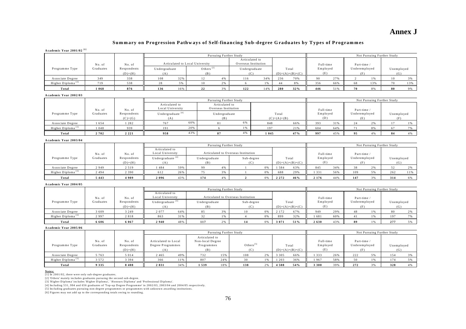### **Annex J**

### **Summary on Progression Pathways of Self-financing Sub-degree Graduates by Types of Programmes**

#### **Academic Year 2001/02 [1]**

|                               |           |                                 |                                        | Pursuing Further Study |                              |           |                        |             |     |     |          | Not Pursuing Further Study |               |     |            |     |  |  |  |
|-------------------------------|-----------|---------------------------------|----------------------------------------|------------------------|------------------------------|-----------|------------------------|-------------|-----|-----|----------|----------------------------|---------------|-----|------------|-----|--|--|--|
| No. of<br>No. of              |           | Articulated to Local University | Articulated to<br>Overseas Institution |                        |                              | Full-time |                        | Part-time / |     |     |          |                            |               |     |            |     |  |  |  |
| Programme Type                | Graduates | Respondents                     | Undergraduate                          |                        | Others <sup>[2]</sup><br>(B) |           | Undergraduate<br>Total |             |     |     | Employed |                            | Underemployed |     | Unemployed |     |  |  |  |
|                               |           | $(D)+(H)$                       | (A)                                    |                        |                              |           | $(D)=(A)+(B)+(C)$      |             | (E) |     |          |                            |               | (G) |            |     |  |  |  |
| Associate Degree              | 349       | 338                             | 108                                    | 32%                    |                              | 4 %       | 116                    | 34%         | 236 | 70% | 90       | 27%                        |               | 1%  | 10         | 3 % |  |  |  |
| Higher Diploma <sup>[3]</sup> | 719       | 538                             |                                        |                        |                              | 2%        |                        |             |     | 8%  | 356      | 66%                        | 68            | 13% | 70         | 13% |  |  |  |
| Total                         | 1068      | 876                             | 136                                    | 16%                    | 22                           | 3 %       | 122                    | 14%         | 280 | 32% | 446      | 51%                        | 70            | 8%  | 80         | 9%  |  |  |  |
|                               |           |                                 |                                        |                        |                              |           |                        |             |     |     |          |                            |               |     |            |     |  |  |  |

#### **Academic Year 2002/03**

|                               |           |                          |                                     |     | Pursuing Further Study                 |     | Not Pursuing Further Study |           |                 |             |                      |    |            |    |  |
|-------------------------------|-----------|--------------------------|-------------------------------------|-----|----------------------------------------|-----|----------------------------|-----------|-----------------|-------------|----------------------|----|------------|----|--|
|                               | No. of    | No. of                   | Articulated to<br>Local University  |     | Articulated to<br>Overseas Institution |     |                            | Full-time |                 | Part-time / |                      |    |            |    |  |
| Programme Type                | Graduates | Respondents<br>$(C)+(G)$ | Undergraduate <sup>[4]</sup><br>(A) |     | Undergraduate<br>(B)                   |     | Total<br>$(C)=(A)+(B)$     |           | Employed<br>(D) |             | Underemployed<br>(E) |    | Unemployed |    |  |
| Associate Degree              | 1654      | 1282                     | 767                                 | 60% |                                        | 6%  |                            | 66%       | 393             | 31%         |                      | 2% |            |    |  |
| Higher Diploma <sup>[3]</sup> | 1048      | 939                      | 191                                 | 20% | 1.96                                   |     | 197                        | 21%       | 604             | 64%         |                      | 8% |            |    |  |
| Total                         | 2702      | 2 2 2 1                  | 958                                 | 43% |                                        | 4 % | 1 0 4 5                    | 47%       | 997             | 45%         |                      | 4% | 84         | 4% |  |

#### **Academic Year 2003/04**

|                  |           |                          |                                     |     |                      | Pursuing Further Study |                                     |    |                            |     | Not Pursuing Further Study |     |               |    |                   |     |  |  |  |
|------------------|-----------|--------------------------|-------------------------------------|-----|----------------------|------------------------|-------------------------------------|----|----------------------------|-----|----------------------------|-----|---------------|----|-------------------|-----|--|--|--|
|                  | No. of    | No. of                   | Articulated to<br>Local University  |     |                      |                        | Articulated to Overseas Institution |    |                            |     | Full-time                  |     | Part-time /   |    |                   |     |  |  |  |
| Programme Type   | Graduates | Respondents<br>$(D)+(H)$ | Undergraduate <sup>[4]</sup><br>(A) |     | Undergraduate<br>(B) |                        | Sub-degree                          |    | Total<br>$(D)=(A)+(B)+(C)$ |     | Employed<br>(E)            |     | Underemployed |    | Unemployed<br>(G) |     |  |  |  |
| Associate Degree | 2949      | 2 5 1 9                  | 484                                 | 59% | QQ                   | 4%                     |                                     | 0% | 584                        | 63% | 845                        | 34% | 38            | 2% |                   |     |  |  |  |
| Higher Diploma   | 2 4 9 4   | 2 3 9 0                  | 612                                 | 26% |                      | 3 %                    |                                     | 0% | 688                        | 29% | 1 3 3 1                    | 56% | 109           | 5% | 262               | 11% |  |  |  |
| Total            | 5 4 4 3   | 4909                     | 2096                                | 43% | 174                  | 4 %                    |                                     | 0% | 2 2 7 2                    | 46% | 2 1 7 6                    | 44% | 147           | 3% | 314               | 6%  |  |  |  |

#### **Academic Year 2004/05**

|                               |           |             |                                    |     |               | Pursuing Further Study              |            |       |                   |     |             |     |               |     | Not Pursuing Further Study |  |
|-------------------------------|-----------|-------------|------------------------------------|-----|---------------|-------------------------------------|------------|-------|-------------------|-----|-------------|-----|---------------|-----|----------------------------|--|
|                               | No. of    | No. of      | Articulated to<br>Local University |     |               | Articulated to Overseas Institution |            |       | Full-time         |     | Part-time / |     |               |     |                            |  |
| Programme Type                | Graduates | Respondents | Undergraduate <sup>[4]</sup>       |     | Undergraduate |                                     | Sub-degree | Total |                   |     | Employed    |     | Underemployed |     | Unemployed                 |  |
|                               |           | $(D)+(H)$   | (A)                                |     | (B)           |                                     | (C)        |       | $(D)=(A)+(B)+(C)$ |     | (E)         |     | (F)           |     | (G)                        |  |
| Associate Degree              | 3609      | 3 2 4 9     | 2077                               | 64% |               | 3%                                  | 10         | 0%    | 2 1 7 2           | 67% | 949         | 29% | 48            | 1 % | 80                         |  |
| Higher Diploma <sup>[3]</sup> | 2997      | 2818        | 863                                | 31% |               | 1 %                                 |            | 0%    | 899               | 32% | 1681        | 60% |               | 1 % | 197                        |  |
| Total                         | 6606      | 6 0 6 7     | 2940                               | 48% | 117           | 2%                                  | 14         | 0%    | 3 0 7 1           | 51% | 2630        | 43% | 89            | 1 % | 277                        |  |

#### **Academic Year 2005/06**

|                  |                     |                                    |                                                  |     |                                                         | Pursuing Further Study |                        |    |                            |     |                              |     |                                     |     | Not Pursuing Further Study |  |
|------------------|---------------------|------------------------------------|--------------------------------------------------|-----|---------------------------------------------------------|------------------------|------------------------|----|----------------------------|-----|------------------------------|-----|-------------------------------------|-----|----------------------------|--|
| Programme Type   | No. of<br>Graduates | No. of<br>Respondents<br>$(D)+(H)$ | Articulated to Local<br>Degree Programmes<br>(A) |     | Articulated to<br>Non-local Degree<br>Programmes<br>(B) |                        | Others $^{[5]}$<br>(C) |    | Total<br>$(D)=(A)+(B)+(C)$ |     | Full-time<br>Employed<br>(E) |     | Part-time /<br>Underemployed<br>(F) |     | Unemployed<br>(G)          |  |
| Associate Degree | 5 7 6 3             | 5 0 1 4                            | 2465                                             | 49% | 732                                                     | 15%                    | 108                    | 2% | 3 3 0 5                    | 66% | 333                          | 26% | 222                                 | 5%  | 154                        |  |
| Higher Diploma   | 572                 | 3 3 9 4                            | 366                                              | 11% | 807                                                     | 24%                    |                        |    | 203                        | 36% | 967                          | 58% |                                     | 1 % | 174                        |  |
| Total            | 9 3 3 5             | 8408                               | 2831                                             | 34% | 1539                                                    | 18%                    | 138                    | 2% | 4508                       | 54% | 3 3 0 0                      | 39% | 272                                 | 3%  | 328                        |  |

<u>Notes:</u><br>[2] In 2001/02, there were only sub-degree graduates.<br>[2] 'Others' mainly includes graduates pursuing the second sub-degree.<br>[3] 'Higher Diploma' includes 'Higher Diploma', ' Honours Diploma' and 'Professional Di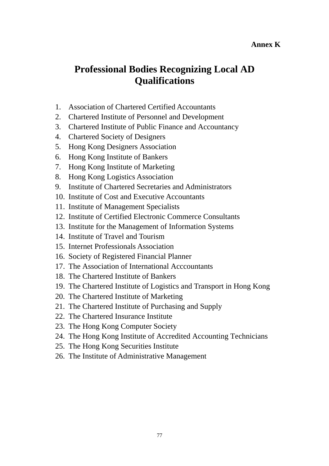### **Annex K**

# **Professional Bodies Recognizing Local AD Qualifications**

- 1. Association of Chartered Certified Accountants
- 2. Chartered Institute of Personnel and Development
- 3. Chartered Institute of Public Finance and Accountancy
- 4. Chartered Society of Designers
- 5. Hong Kong Designers Association
- 6. Hong Kong Institute of Bankers
- 7. Hong Kong Institute of Marketing
- 8. Hong Kong Logistics Association
- 9. Institute of Chartered Secretaries and Administrators
- 10. Institute of Cost and Executive Accountants
- 11. Institute of Management Specialists
- 12. Institute of Certified Electronic Commerce Consultants
- 13. Institute for the Management of Information Systems
- 14. Institute of Travel and Tourism
- 15. Internet Professionals Association
- 16. Society of Registered Financial Planner
- 17. The Association of International Acccountants
- 18. The Chartered Institute of Bankers
- 19. The Chartered Institute of Logistics and Transport in Hong Kong
- 20. The Chartered Institute of Marketing
- 21. The Chartered Institute of Purchasing and Supply
- 22. The Chartered Insurance Institute
- 23. The Hong Kong Computer Society
- 24. The Hong Kong Institute of Accredited Accounting Technicians
- 25. The Hong Kong Securities Institute
- 26. The Institute of Administrative Management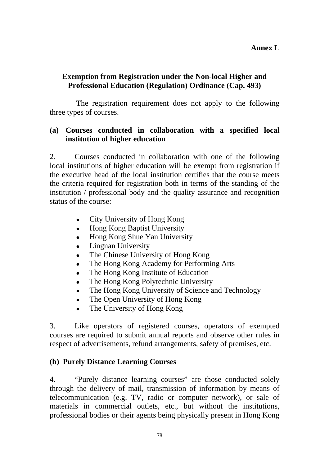### **Exemption from Registration under the Non-local Higher and Professional Education (Regulation) Ordinance (Cap. 493)**

 The registration requirement does not apply to the following three types of courses.

### **(a) Courses conducted in collaboration with a specified local institution of higher education**

2. Courses conducted in collaboration with one of the following local institutions of higher education will be exempt from registration if the executive head of the local institution certifies that the course meets the criteria required for registration both in terms of the standing of the institution / professional body and the quality assurance and recognition status of the course:

- $\bullet$  City University of Hong Kong
- Hong Kong Baptist University
- Hong Kong Shue Yan University
- $\bullet$  Lingnan University
- The Chinese University of Hong Kong
- The Hong Kong Academy for Performing Arts
- The Hong Kong Institute of Education
- The Hong Kong Polytechnic University
- The Hong Kong University of Science and Technology
- The Open University of Hong Kong
- The University of Hong Kong

3. Like operators of registered courses, operators of exempted courses are required to submit annual reports and observe other rules in respect of advertisements, refund arrangements, safety of premises, etc.

### **(b) Purely Distance Learning Courses**

4. "Purely distance learning courses" are those conducted solely through the delivery of mail, transmission of information by means of telecommunication (e.g. TV, radio or computer network), or sale of materials in commercial outlets, etc., but without the institutions, professional bodies or their agents being physically present in Hong Kong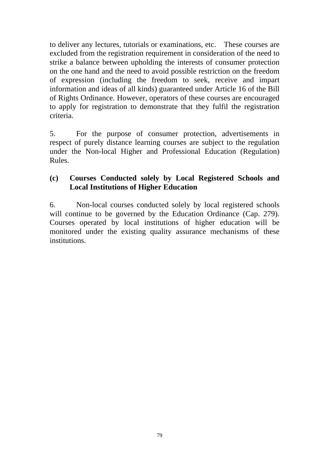to deliver any lectures, tutorials or examinations, etc. These courses are excluded from the registration requirement in consideration of the need to strike a balance between upholding the interests of consumer protection on the one hand and the need to avoid possible restriction on the freedom of expression (including the freedom to seek, receive and impart information and ideas of all kinds) guaranteed under Article 16 of the Bill of Rights Ordinance. However, operators of these courses are encouraged to apply for registration to demonstrate that they fulfil the registration criteria.

5. For the purpose of consumer protection, advertisements in respect of purely distance learning courses are subject to the regulation under the Non-local Higher and Professional Education (Regulation) Rules.

### **(c) Courses Conducted solely by Local Registered Schools and Local Institutions of Higher Education**

6. Non-local courses conducted solely by local registered schools will continue to be governed by the Education Ordinance (Cap. 279). Courses operated by local institutions of higher education will be monitored under the existing quality assurance mechanisms of these institutions.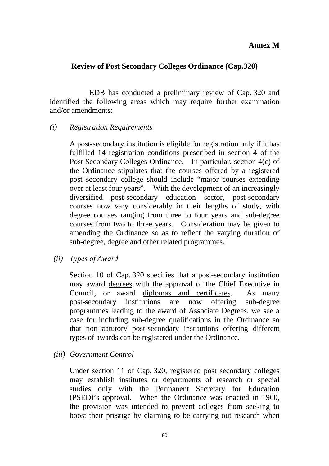### **Annex M**

### **Review of Post Secondary Colleges Ordinance (Cap.320)**

 EDB has conducted a preliminary review of Cap. 320 and identified the following areas which may require further examination and/or amendments:

### *(i) Registration Requirements*

 A post-secondary institution is eligible for registration only if it has fulfilled 14 registration conditions prescribed in section 4 of the Post Secondary Colleges Ordinance. In particular, section 4(c) of the Ordinance stipulates that the courses offered by a registered post secondary college should include "major courses extending over at least four years". With the development of an increasingly diversified post-secondary education sector, post-secondary courses now vary considerably in their lengths of study, with degree courses ranging from three to four years and sub-degree courses from two to three years. Consideration may be given to amending the Ordinance so as to reflect the varying duration of sub-degree, degree and other related programmes.

 *(ii) Types of Award* 

 Section 10 of Cap. 320 specifies that a post-secondary institution may award degrees with the approval of the Chief Executive in Council, or award diplomas and certificates. As many post-secondary institutions are now offering sub-degree programmes leading to the award of Associate Degrees, we see a case for including sub-degree qualifications in the Ordinance so that non-statutory post-secondary institutions offering different types of awards can be registered under the Ordinance.

*(iii) Government Control* 

 Under section 11 of Cap. 320, registered post secondary colleges may establish institutes or departments of research or special studies only with the Permanent Secretary for Education (PSED)'s approval. When the Ordinance was enacted in 1960, the provision was intended to prevent colleges from seeking to boost their prestige by claiming to be carrying out research when